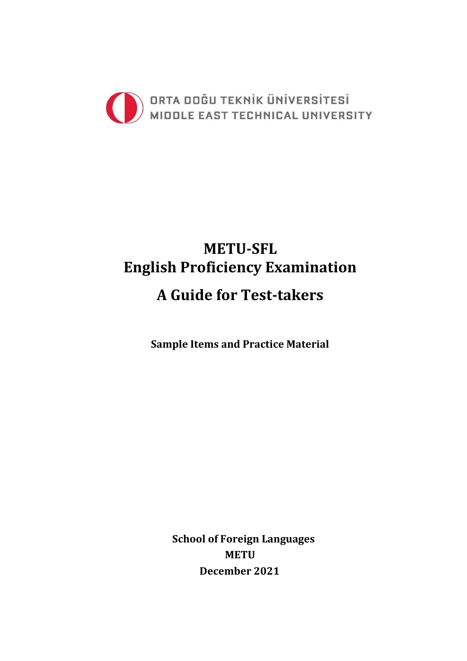

# **METU-SFL English Proficiency Examination A Guide for Test-takers**

**Sample Items and Practice Material** 

**School of Foreign Languages METU December 2021**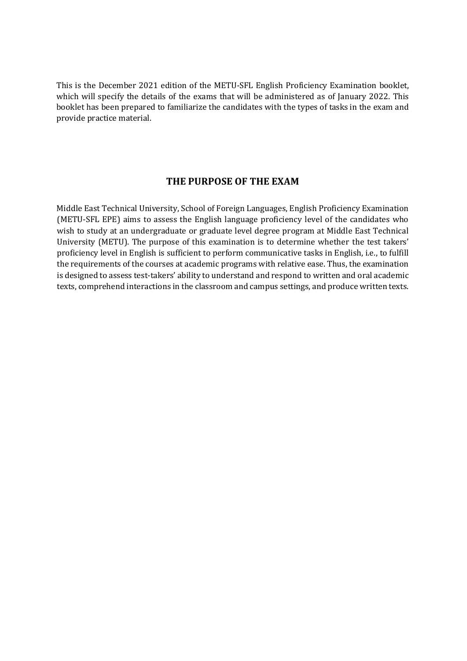This is the December 2021 edition of the METU-SFL English Proficiency Examination booklet, which will specify the details of the exams that will be administered as of January 2022. This booklet has been prepared to familiarize the candidates with the types of tasks in the exam and provide practice material.

# **THE PURPOSE OF THE EXAM**

Middle East Technical University, School of Foreign Languages, English Proficiency Examination (METU-SFL EPE) aims to assess the English language proficiency level of the candidates who wish to study at an undergraduate or graduate level degree program at Middle East Technical University (METU). The purpose of this examination is to determine whether the test takers' proficiency level in English is sufficient to perform communicative tasks in English, i.e., to fulfill the requirements of the courses at academic programs with relative ease. Thus, the examination is designed to assess test-takers' ability to understand and respond to written and oral academic texts, comprehend interactions in the classroom and campus settings, and produce written texts.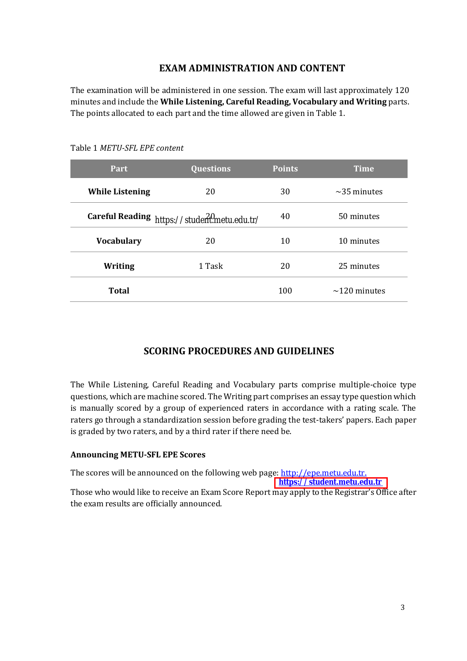# **EXAM ADMINISTRATION AND CONTENT**

The examination will be administered in one session. The exam will last approximately 120 minutes and include the **While Listening, Careful Reading, Vocabulary and Writing** parts. The points allocated to each part and the time allowed are given in Table 1.

| Part                   | <b>Questions</b>                             | <b>Points</b> | <b>Time</b>        |
|------------------------|----------------------------------------------|---------------|--------------------|
| <b>While Listening</b> | 20                                           | 30            | $\sim$ 35 minutes  |
|                        | Careful Reading https://studeritmetu.edu.tr/ | 40            | 50 minutes         |
| <b>Vocabulary</b>      | 20                                           | 10            | 10 minutes         |
| Writing                | 1 Task                                       | 20            | 25 minutes         |
| <b>Total</b>           |                                              | 100           | $\sim$ 120 minutes |

Table 1 *METU-SFL EPE content*

# **SCORING PROCEDURES AND GUIDELINES**

The While Listening, Careful Reading and Vocabulary parts comprise multiple-choice type questions, which are machine scored. The Writing part comprises an essay type question which is manually scored by a group of experienced raters in accordance with a rating scale. The raters go through a standardization session before grading the test-takers' papers. Each paper is graded by two raters, and by a third rater if there need be.

#### **Announcing METU-SFL EPE Scores**

The scores will be announced on the following web page: [http://epe.metu.edu.tr.](http://epe.metu.edu.tr./)

**[https://student.metu.edu.tr](https://student.metu.edu.tr/)**

Those who would like to receive an Exam Score Report may apply to the Registrar's Office after the exam results are officially announced.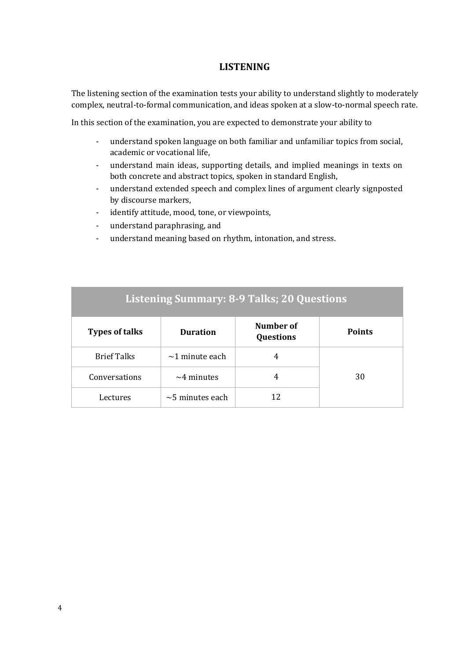# **LISTENING**

The listening section of the examination tests your ability to understand slightly to moderately complex, neutral-to-formal communication, and ideas spoken at a slow-to-normal speech rate.

In this section of the examination, you are expected to demonstrate your ability to

- understand spoken language on both familiar and unfamiliar topics from social, academic or vocational life,
- understand main ideas, supporting details, and implied meanings in texts on both concrete and abstract topics, spoken in standard English,
- understand extended speech and complex lines of argument clearly signposted by discourse markers,
- identify attitude, mood, tone, or viewpoints,
- understand paraphrasing, and
- understand meaning based on rhythm, intonation, and stress.

| <b>Listening Summary: 8-9 Talks; 20 Questions</b> |                       |                               |               |
|---------------------------------------------------|-----------------------|-------------------------------|---------------|
| <b>Types of talks</b>                             | Duration              | Number of<br><b>Questions</b> | <b>Points</b> |
| <b>Brief Talks</b>                                | $\sim$ 1 minute each  | 4                             |               |
| Conversations                                     | $\sim$ 4 minutes      | 4                             | 30            |
| Lectures                                          | $\sim$ 5 minutes each | 12                            |               |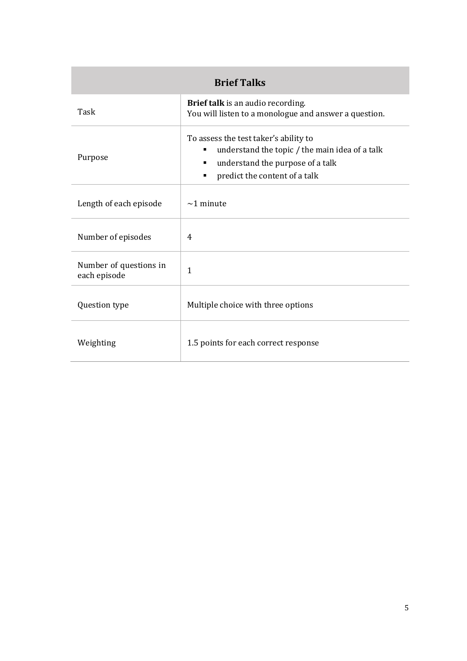| <b>Brief Talks</b>                     |                                                                                                                                                                                          |  |  |
|----------------------------------------|------------------------------------------------------------------------------------------------------------------------------------------------------------------------------------------|--|--|
| Task                                   | Brief talk is an audio recording.<br>You will listen to a monologue and answer a question.                                                                                               |  |  |
| Purpose                                | To assess the test taker's ability to<br>understand the topic / the main idea of a talk<br>٠<br>understand the purpose of a talk<br>п<br>predict the content of a talk<br>$\blacksquare$ |  |  |
| Length of each episode                 | $\sim$ 1 minute                                                                                                                                                                          |  |  |
| Number of episodes                     | 4                                                                                                                                                                                        |  |  |
| Number of questions in<br>each episode | $\mathbf{1}$                                                                                                                                                                             |  |  |
| Question type                          | Multiple choice with three options                                                                                                                                                       |  |  |
| Weighting                              | 1.5 points for each correct response                                                                                                                                                     |  |  |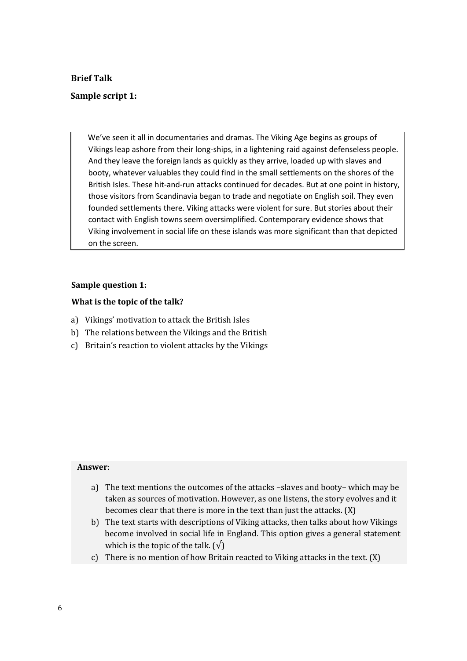#### **Brief Talk**

#### **Sample script 1:**

We've seen it all in documentaries and dramas. The Viking Age begins as groups of Vikings leap ashore from their long-ships, in a lightening raid against defenseless people. And they leave the foreign lands as quickly as they arrive, loaded up with slaves and booty, whatever valuables they could find in the small settlements on the shores of the British Isles. These hit-and-run attacks continued for decades. But at one point in history, those visitors from Scandinavia began to trade and negotiate on English soil. They even founded settlements there. Viking attacks were violent for sure. But stories about their contact with English towns seem oversimplified. Contemporary evidence shows that Viking involvement in social life on these islands was more significant than that depicted on the screen.

#### **Sample question 1:**

#### **What is the topic of the talk?**

- a) Vikings' motivation to attack the British Isles
- b) The relations between the Vikings and the British
- c) Britain's reaction to violent attacks by the Vikings

- a) The text mentions the outcomes of the attacks –slaves and booty– which may be taken as sources of motivation. However, as one listens, the story evolves and it becomes clear that there is more in the text than just the attacks. (X)
- b) The text starts with descriptions of Viking attacks, then talks about how Vikings become involved in social life in England. This option gives a general statement which is the topic of the talk.  $(\sqrt{})$
- c) There is no mention of how Britain reacted to Viking attacks in the text. (X)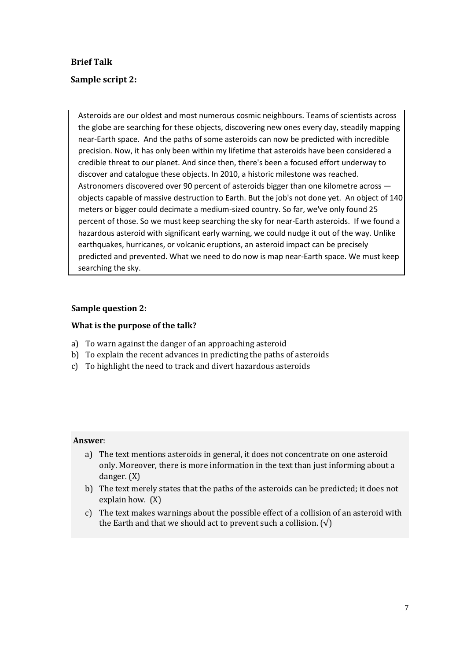# **Brief Talk**

# **Sample script 2:**

Asteroids are our oldest and most numerous cosmic neighbours. Teams of scientists across the globe are searching for these objects, discovering new ones every day, steadily mapping near-Earth space. And the paths of some asteroids can now be predicted with incredible precision. Now, it has only been within my lifetime that asteroids have been considered a credible threat to our planet. And since then, there's been a focused effort underway to discover and catalogue these objects. In 2010, a historic milestone was reached. Astronomers discovered over 90 percent of asteroids bigger than one kilometre across objects capable of massive destruction to Earth. But the job's not done yet. An object of 140 meters or bigger could decimate a medium-sized country. So far, we've only found 25 percent of those. So we must keep searching the sky for near-Earth asteroids. If we found a hazardous asteroid with significant early warning, we could nudge it out of the way. Unlike earthquakes, hurricanes, or volcanic eruptions, an asteroid impact can be precisely predicted and prevented. What we need to do now is map near-Earth space. We must keep searching the sky.

#### **Sample question 2:**

#### **What is the purpose of the talk?**

- a) To warn against the danger of an approaching asteroid
- b) To explain the recent advances in predicting the paths of asteroids
- c) To highlight the need to track and divert hazardous asteroids

- a) The text mentions asteroids in general, it does not concentrate on one asteroid only. Moreover, there is more information in the text than just informing about a danger. (X)
- b) The text merely states that the paths of the asteroids can be predicted; it does not explain how. (X)
- c) The text makes warnings about the possible effect of a collision of an asteroid with the Earth and that we should act to prevent such a collision.  $(\sqrt{)}$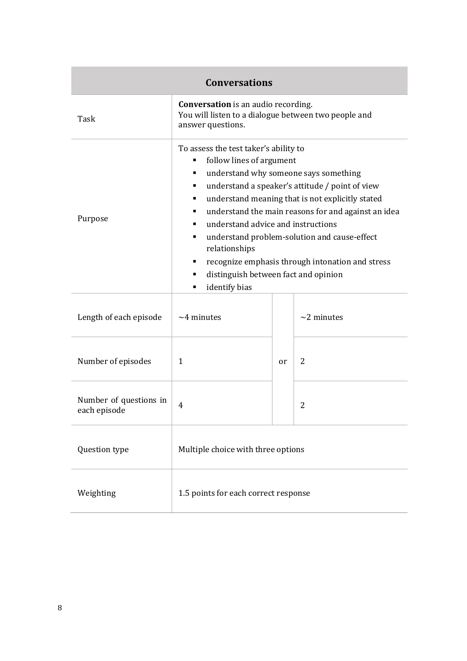|                                        | <b>Conversations</b>                                                                                                                                                                                                           |    |                                                                                                                                                                                                                                                                                                         |
|----------------------------------------|--------------------------------------------------------------------------------------------------------------------------------------------------------------------------------------------------------------------------------|----|---------------------------------------------------------------------------------------------------------------------------------------------------------------------------------------------------------------------------------------------------------------------------------------------------------|
| Task                                   | <b>Conversation</b> is an audio recording.<br>You will listen to a dialogue between two people and<br>answer questions.                                                                                                        |    |                                                                                                                                                                                                                                                                                                         |
| Purpose                                | To assess the test taker's ability to<br>follow lines of argument<br>٠<br>٠<br>٠<br>٠<br>٠<br>understand advice and instructions<br>٠<br>relationships<br>٠<br>distinguish between fact and opinion<br>٠<br>identify bias<br>п |    | understand why someone says something<br>understand a speaker's attitude / point of view<br>understand meaning that is not explicitly stated<br>understand the main reasons for and against an idea<br>understand problem-solution and cause-effect<br>recognize emphasis through intonation and stress |
| Length of each episode                 | $~1$ <sup>4</sup> minutes                                                                                                                                                                                                      |    | $\sim$ 2 minutes                                                                                                                                                                                                                                                                                        |
| Number of episodes                     | $\mathbf{1}$                                                                                                                                                                                                                   | or | $\overline{2}$                                                                                                                                                                                                                                                                                          |
| Number of questions in<br>each episode | 4                                                                                                                                                                                                                              |    | $\overline{2}$                                                                                                                                                                                                                                                                                          |
| Question type                          | Multiple choice with three options                                                                                                                                                                                             |    |                                                                                                                                                                                                                                                                                                         |
| Weighting                              | 1.5 points for each correct response                                                                                                                                                                                           |    |                                                                                                                                                                                                                                                                                                         |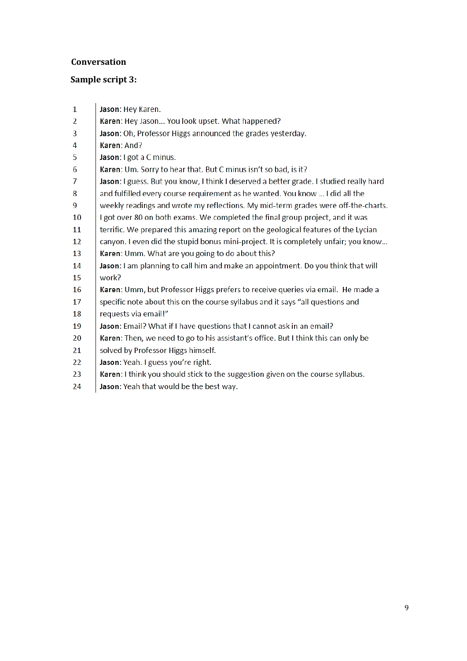# **Conversation**

# **Sample script 3:**

| 1  | Jason: Hey Karen.                                                                      |
|----|----------------------------------------------------------------------------------------|
| 2  | Karen: Hey Jason You look upset. What happened?                                        |
| 3  | Jason: Oh, Professor Higgs announced the grades yesterday.                             |
| 4  | Karen: And?                                                                            |
| 5  | Jason: I got a C minus.                                                                |
| 6  | Karen: Um. Sorry to hear that. But C minus isn't so bad, is it?                        |
| 7  | Jason: I guess. But you know, I think I deserved a better grade. I studied really hard |
| 8  | and fulfilled every course requirement as he wanted. You know  I did all the           |
| 9  | weekly readings and wrote my reflections. My mid-term grades were off-the-charts.      |
| 10 | I got over 80 on both exams. We completed the final group project, and it was          |
| 11 | terrific. We prepared this amazing report on the geological features of the Lycian     |
| 12 | canyon. I even did the stupid bonus mini-project. It is completely unfair; you know    |
| 13 | Karen: Umm. What are you going to do about this?                                       |
| 14 | Jason: I am planning to call him and make an appointment. Do you think that will       |
| 15 | work?                                                                                  |
| 16 | Karen: Umm, but Professor Higgs prefers to receive queries via email. He made a        |
| 17 | specific note about this on the course syllabus and it says "all questions and         |
| 18 | requests via email!"                                                                   |
| 19 | Jason: Email? What if I have questions that I cannot ask in an email?                  |
| 20 | Karen: Then, we need to go to his assistant's office. But I think this can only be     |
| 21 | solved by Professor Higgs himself.                                                     |
| 22 | Jason: Yeah. I guess you're right.                                                     |
| 23 | Karen: I think you should stick to the suggestion given on the course syllabus.        |
| 24 | Jason: Yeah that would be the best way.                                                |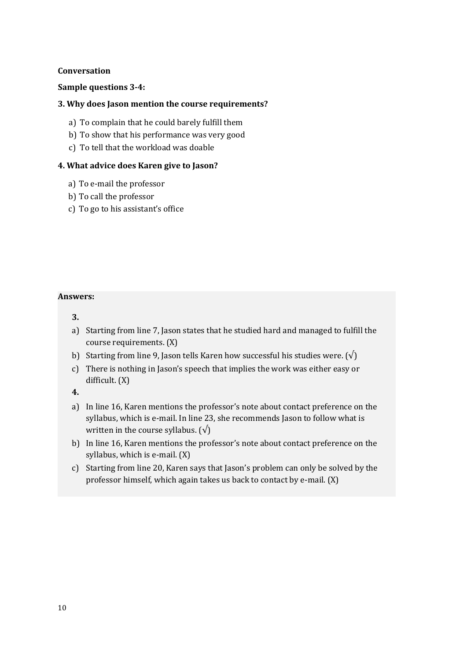## **Conversation**

## **Sample questions 3-4:**

## **3. Why does Jason mention the course requirements?**

- a) To complain that he could barely fulfill them
- b) To show that his performance was very good
- c) To tell that the workload was doable

## **4. What advice does Karen give to Jason?**

- a) To e-mail the professor
- b) To call the professor
- c) To go to his assistant's office

#### **Answers:**

#### **3.**

- a) Starting from line 7, Jason states that he studied hard and managed to fulfill the course requirements. (X)
- b) Starting from line 9, Jason tells Karen how successful his studies were.  $(\sqrt)$
- c) There is nothing in Jason's speech that implies the work was either easy or difficult. (X)

**4.** 

- a) In line 16, Karen mentions the professor's note about contact preference on the syllabus, which is e-mail. In line 23, she recommends Jason to follow what is written in the course syllabus.  $(\sqrt{)}$
- b) In line 16, Karen mentions the professor's note about contact preference on the syllabus, which is e-mail. (X)
- c) Starting from line 20, Karen says that Jason's problem can only be solved by the professor himself, which again takes us back to contact by e-mail. (X)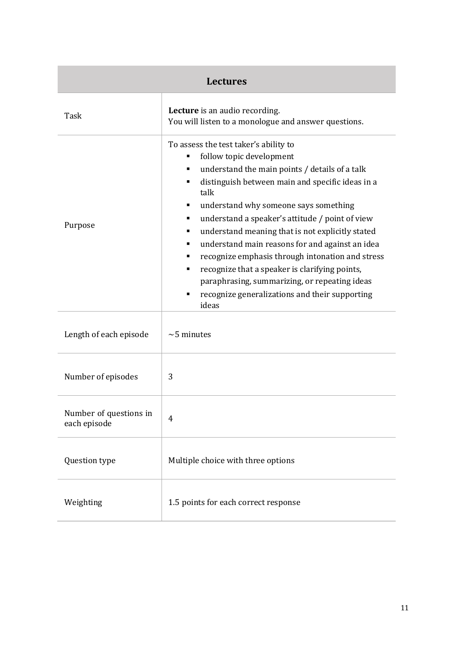| <b>Lectures</b>                        |                                                                                                                                                                                                                                                                                                                                                                                                                                                                                                                                                                                                                                    |  |
|----------------------------------------|------------------------------------------------------------------------------------------------------------------------------------------------------------------------------------------------------------------------------------------------------------------------------------------------------------------------------------------------------------------------------------------------------------------------------------------------------------------------------------------------------------------------------------------------------------------------------------------------------------------------------------|--|
| Task                                   | Lecture is an audio recording.<br>You will listen to a monologue and answer questions.                                                                                                                                                                                                                                                                                                                                                                                                                                                                                                                                             |  |
| Purpose                                | To assess the test taker's ability to<br>follow topic development<br>understand the main points / details of a talk<br>٠<br>distinguish between main and specific ideas in a<br>٠<br>talk<br>understand why someone says something<br>٠<br>understand a speaker's attitude / point of view<br>٠<br>understand meaning that is not explicitly stated<br>understand main reasons for and against an idea<br>٠<br>recognize emphasis through intonation and stress<br>recognize that a speaker is clarifying points,<br>٠<br>paraphrasing, summarizing, or repeating ideas<br>recognize generalizations and their supporting<br>ideas |  |
| Length of each episode                 | $\sim$ 5 minutes                                                                                                                                                                                                                                                                                                                                                                                                                                                                                                                                                                                                                   |  |
| Number of episodes                     | 3                                                                                                                                                                                                                                                                                                                                                                                                                                                                                                                                                                                                                                  |  |
| Number of questions in<br>each episode | 4                                                                                                                                                                                                                                                                                                                                                                                                                                                                                                                                                                                                                                  |  |
| Question type                          | Multiple choice with three options                                                                                                                                                                                                                                                                                                                                                                                                                                                                                                                                                                                                 |  |
| Weighting                              | 1.5 points for each correct response                                                                                                                                                                                                                                                                                                                                                                                                                                                                                                                                                                                               |  |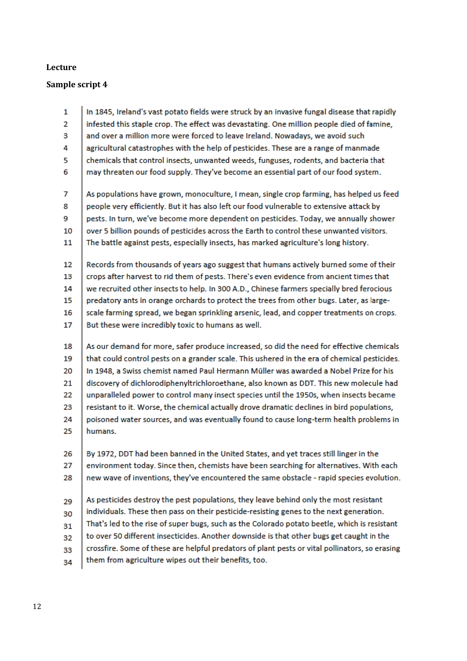# **Lecture**

# **Sample script 4**

| 1  | In 1845, Ireland's vast potato fields were struck by an invasive fungal disease that rapidly   |
|----|------------------------------------------------------------------------------------------------|
| 2  | infested this staple crop. The effect was devastating. One million people died of famine,      |
| з  | and over a million more were forced to leave Ireland. Nowadays, we avoid such                  |
| 4  | agricultural catastrophes with the help of pesticides. These are a range of manmade            |
| 5  | chemicals that control insects, unwanted weeds, funguses, rodents, and bacteria that           |
| 6  | may threaten our food supply. They've become an essential part of our food system.             |
| 7  | As populations have grown, monoculture, I mean, single crop farming, has helped us feed        |
| 8  | people very efficiently. But it has also left our food vulnerable to extensive attack by       |
| 9  | pests. In turn, we've become more dependent on pesticides. Today, we annually shower           |
| 10 | over 5 billion pounds of pesticides across the Earth to control these unwanted visitors.       |
| 11 | The battle against pests, especially insects, has marked agriculture's long history.           |
| 12 | Records from thousands of years ago suggest that humans actively burned some of their          |
| 13 | crops after harvest to rid them of pests. There's even evidence from ancient times that        |
| 14 | we recruited other insects to help. In 300 A.D., Chinese farmers specially bred ferocious      |
| 15 | predatory ants in orange orchards to protect the trees from other bugs. Later, as large-       |
| 16 | scale farming spread, we began sprinkling arsenic, lead, and copper treatments on crops.       |
| 17 | But these were incredibly toxic to humans as well.                                             |
| 18 | As our demand for more, safer produce increased, so did the need for effective chemicals       |
| 19 | that could control pests on a grander scale. This ushered in the era of chemical pesticides.   |
| 20 | In 1948, a Swiss chemist named Paul Hermann Müller was awarded a Nobel Prize for his           |
| 21 | discovery of dichlorodiphenyltrichloroethane, also known as DDT. This new molecule had         |
| 22 | unparalleled power to control many insect species until the 1950s, when insects became         |
| 23 | resistant to it. Worse, the chemical actually drove dramatic declines in bird populations,     |
| 24 | poisoned water sources, and was eventually found to cause long-term health problems in         |
| 25 | humans.                                                                                        |
| 26 | By 1972, DDT had been banned in the United States, and yet traces still linger in the          |
| 27 | environment today. Since then, chemists have been searching for alternatives. With each        |
| 28 | new wave of inventions, they've encountered the same obstacle - rapid species evolution.       |
| 29 | As pesticides destroy the pest populations, they leave behind only the most resistant          |
| 30 | individuals. These then pass on their pesticide-resisting genes to the next generation.        |
| 31 | That's led to the rise of super bugs, such as the Colorado potato beetle, which is resistant   |
| 32 | to over 50 different insecticides. Another downside is that other bugs get caught in the       |
| 33 | crossfire. Some of these are helpful predators of plant pests or vital pollinators, so erasing |
| 34 | them from agriculture wipes out their benefits, too.                                           |
|    |                                                                                                |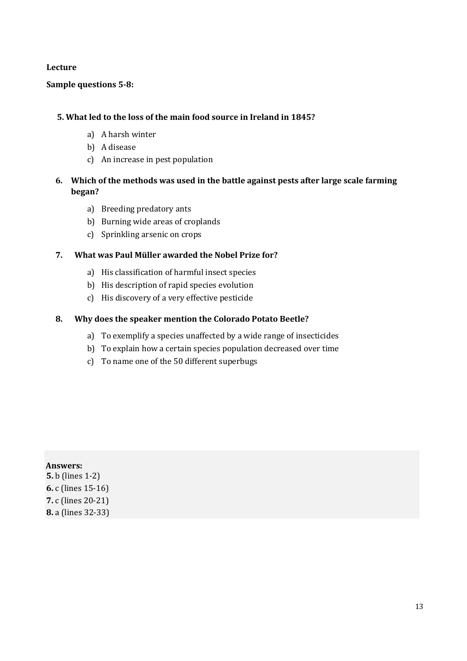#### **Lecture**

#### **Sample questions 5-8:**

#### **5. What led to the loss of the main food source in Ireland in 1845?**

- a) A harsh winter
- b) A disease
- c) An increase in pest population

# **6. Which of the methods was used in the battle against pests after large scale farming began?**

- a) Breeding predatory ants
- b) Burning wide areas of croplands
- c) Sprinkling arsenic on crops

#### **7. What was Paul Müller awarded the Nobel Prize for?**

- a) His classification of harmful insect species
- b) His description of rapid species evolution
- c) His discovery of a very effective pesticide

#### **8. Why does the speaker mention the Colorado Potato Beetle?**

- a) To exemplify a species unaffected by a wide range of insecticides
- b) To explain how a certain species population decreased over time
- c) To name one of the 50 different superbugs

#### **Answers:**

**5.** b (lines 1-2) **6.** c (lines 15-16) **7.** c (lines 20-21) **8.** a (lines 32-33)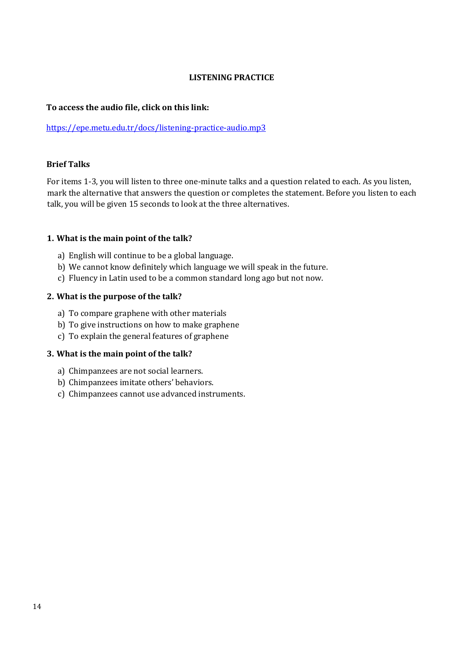## **LISTENING PRACTICE**

#### **To access the audio file, click on this link:**

#### <https://epe.metu.edu.tr/docs/listening-practice-audio.mp3>

#### **Brief Talks**

For items 1-3, you will listen to three one-minute talks and a question related to each. As you listen, mark the alternative that answers the question or completes the statement. Before you listen to each talk, you will be given 15 seconds to look at the three alternatives.

#### **1. What is the main point of the talk?**

- a) English will continue to be a global language.
- b) We cannot know definitely which language we will speak in the future.
- c) Fluency in Latin used to be a common standard long ago but not now.

#### **2. What is the purpose of the talk?**

- a) To compare graphene with other materials
- b) To give instructions on how to make graphene
- c) To explain the general features of graphene

#### **3. What is the main point of the talk?**

- a) Chimpanzees are not social learners.
- b) Chimpanzees imitate others' behaviors.
- c) Chimpanzees cannot use advanced instruments.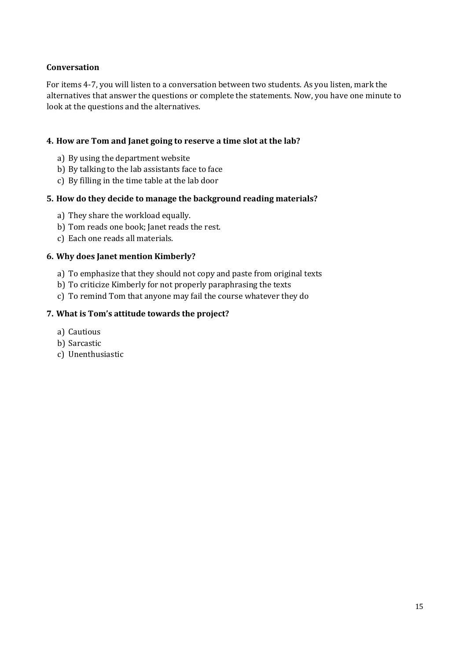# **Conversation**

For items 4-7, you will listen to a conversation between two students. As you listen, mark the alternatives that answer the questions or complete the statements. Now, you have one minute to look at the questions and the alternatives.

## **4. How are Tom and Janet going to reserve a time slot at the lab?**

- a) By using the department website
- b) By talking to the lab assistants face to face
- c) By filling in the time table at the lab door

# **5. How do they decide to manage the background reading materials?**

- a) They share the workload equally.
- b) Tom reads one book; Janet reads the rest.
- c) Each one reads all materials.

# **6. Why does Janet mention Kimberly?**

- a) To emphasize that they should not copy and paste from original texts
- b) To criticize Kimberly for not properly paraphrasing the texts
- c) To remind Tom that anyone may fail the course whatever they do

# **7. What is Tom's attitude towards the project?**

- a) Cautious
- b) Sarcastic
- c) Unenthusiastic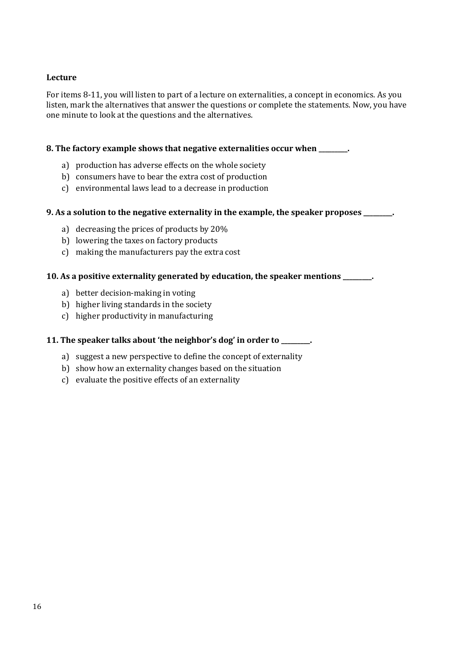# **Lecture**

For items 8-11, you will listen to part of a lecture on externalities, a concept in economics. As you listen, mark the alternatives that answer the questions or complete the statements. Now, you have one minute to look at the questions and the alternatives.

#### **8. The factory example shows that negative externalities occur when \_\_\_\_\_\_\_\_\_.**

- a) production has adverse effects on the whole society
- b) consumers have to bear the extra cost of production
- c) environmental laws lead to a decrease in production

#### **9. As a solution to the negative externality in the example, the speaker proposes \_\_\_\_\_\_\_\_\_.**

- a) decreasing the prices of products by 20%
- b) lowering the taxes on factory products
- c) making the manufacturers pay the extra cost

#### **10. As a positive externality generated by education, the speaker mentions \_\_\_\_\_\_\_\_\_.**

- a) better decision-making in voting
- b) higher living standards in the society
- c) higher productivity in manufacturing

#### **11. The speaker talks about 'the neighbor's dog' in order to \_\_\_\_\_\_\_\_\_.**

- a) suggest a new perspective to define the concept of externality
- b) show how an externality changes based on the situation
- c) evaluate the positive effects of an externality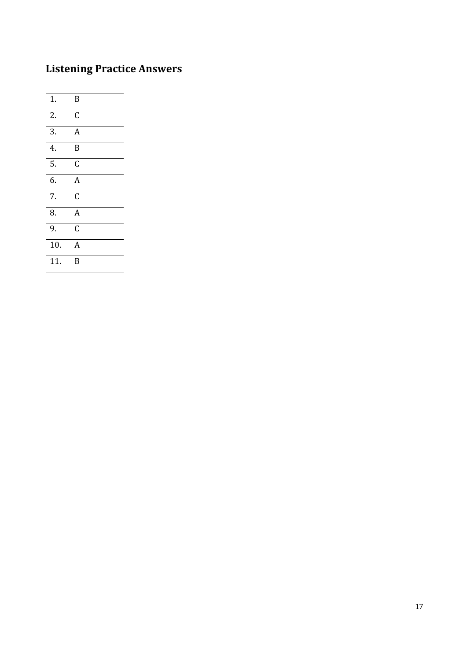# **Listening Practice Answers**

| 1.               | B              |
|------------------|----------------|
| 2.               | C              |
| 3.               | $\overline{A}$ |
| 4.               | B              |
| $\overline{5}$ . | C              |
| 6.               | $\overline{A}$ |
| 7.               | Ċ              |
| 8.               | $\overline{A}$ |
| 9.               | C              |
| 10.              | A              |
| 11.              | B              |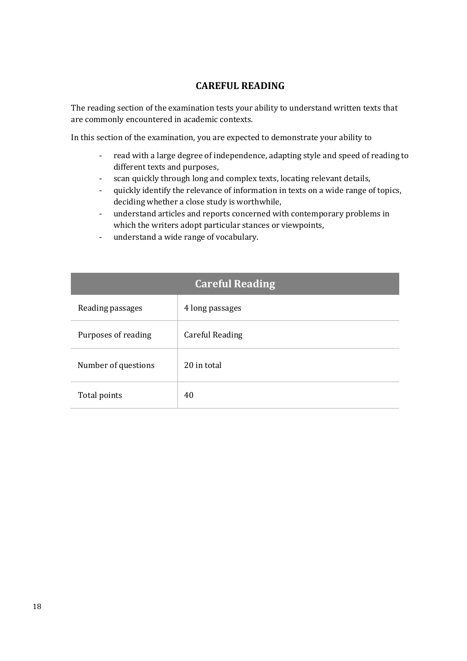# **CAREFUL READING**

The reading section of the examination tests your ability to understand written texts that are commonly encountered in academic contexts.

In this section of the examination, you are expected to demonstrate your ability to

- read with a large degree of independence, adapting style and speed of reading to different texts and purposes,
- scan quickly through long and complex texts, locating relevant details,
- quickly identify the relevance of information in texts on a wide range of topics, deciding whether a close study is worthwhile,
- understand articles and reports concerned with contemporary problems in which the writers adopt particular stances or viewpoints,
- understand a wide range of vocabulary.

| <b>Careful Reading</b> |                 |  |
|------------------------|-----------------|--|
| Reading passages       | 4 long passages |  |
| Purposes of reading    | Careful Reading |  |
| Number of questions    | 20 in total     |  |
| Total points           | 40              |  |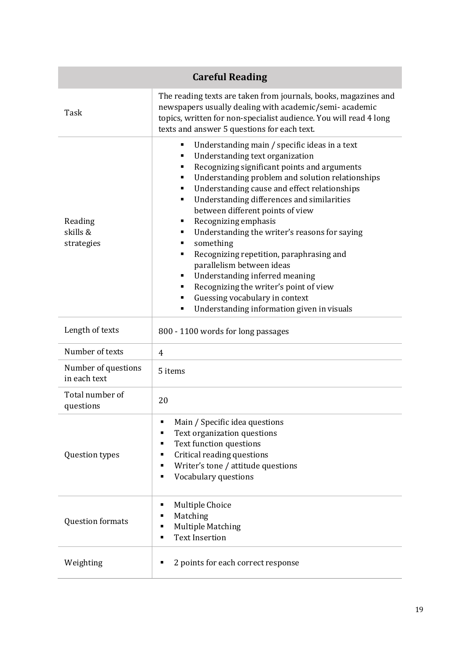|                                     | <b>Careful Reading</b>                                                                                                                                                                                                                                                                                                                                                                                                                                                                                                                                                                                                                                                                                   |
|-------------------------------------|----------------------------------------------------------------------------------------------------------------------------------------------------------------------------------------------------------------------------------------------------------------------------------------------------------------------------------------------------------------------------------------------------------------------------------------------------------------------------------------------------------------------------------------------------------------------------------------------------------------------------------------------------------------------------------------------------------|
| Task                                | The reading texts are taken from journals, books, magazines and<br>newspapers usually dealing with academic/semi-academic<br>topics, written for non-specialist audience. You will read 4 long<br>texts and answer 5 questions for each text.                                                                                                                                                                                                                                                                                                                                                                                                                                                            |
| Reading<br>skills &<br>strategies   | Understanding main / specific ideas in a text<br>٠<br>Understanding text organization<br>Recognizing significant points and arguments<br>п<br>Understanding problem and solution relationships<br>п<br>Understanding cause and effect relationships<br>п<br>Understanding differences and similarities<br>п<br>between different points of view<br>Recognizing emphasis<br>п<br>Understanding the writer's reasons for saying<br>something<br>п<br>Recognizing repetition, paraphrasing and<br>п<br>parallelism between ideas<br>Understanding inferred meaning<br>п<br>Recognizing the writer's point of view<br>п<br>Guessing vocabulary in context<br>Understanding information given in visuals<br>п |
| Length of texts                     | 800 - 1100 words for long passages                                                                                                                                                                                                                                                                                                                                                                                                                                                                                                                                                                                                                                                                       |
| Number of texts                     | $\overline{4}$                                                                                                                                                                                                                                                                                                                                                                                                                                                                                                                                                                                                                                                                                           |
| Number of questions<br>in each text | 5 items                                                                                                                                                                                                                                                                                                                                                                                                                                                                                                                                                                                                                                                                                                  |
| Total number of<br>questions        | 20                                                                                                                                                                                                                                                                                                                                                                                                                                                                                                                                                                                                                                                                                                       |
| Question types                      | Main / Specific idea questions<br>п<br>Text organization questions<br>$\blacksquare$<br>Text function questions<br>■<br>Critical reading questions<br>٠<br>Writer's tone / attitude questions<br>٠<br>Vocabulary questions<br>$\blacksquare$                                                                                                                                                                                                                                                                                                                                                                                                                                                             |
| Question formats                    | <b>Multiple Choice</b><br>٠<br>Matching<br>٠<br><b>Multiple Matching</b><br>$\blacksquare$<br><b>Text Insertion</b><br>$\blacksquare$                                                                                                                                                                                                                                                                                                                                                                                                                                                                                                                                                                    |
| Weighting                           | 2 points for each correct response<br>٠                                                                                                                                                                                                                                                                                                                                                                                                                                                                                                                                                                                                                                                                  |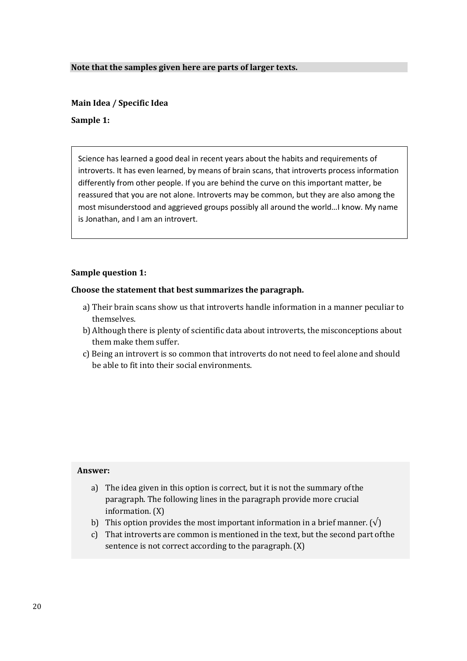#### **Note that the samples given here are parts of larger texts.**

#### **Main Idea / Specific Idea**

#### **Sample 1:**

Science has learned a good deal in recent years about the habits and requirements of introverts. It has even learned, by means of brain scans, that introverts process information differently from other people. If you are behind the curve on this important matter, be reassured that you are not alone. Introverts may be common, but they are also among the most misunderstood and aggrieved groups possibly all around the world…I know. My name is Jonathan, and I am an introvert.

#### **Sample question 1:**

#### **Choose the statement that best summarizes the paragraph.**

- a) Their brain scans show us that introverts handle information in a manner peculiar to themselves.
- b) Although there is plenty of scientific data about introverts, the misconceptions about them make them suffer.
- c) Being an introvert is so common that introverts do not need to feel alone and should be able to fit into their social environments.

- a) The idea given in this option is correct, but it is not the summary ofthe paragraph. The following lines in the paragraph provide more crucial information. (X)
- b) This option provides the most important information in a brief manner. ( $\sqrt{}$ )
- c) That introverts are common is mentioned in the text, but the second part ofthe sentence is not correct according to the paragraph.(X)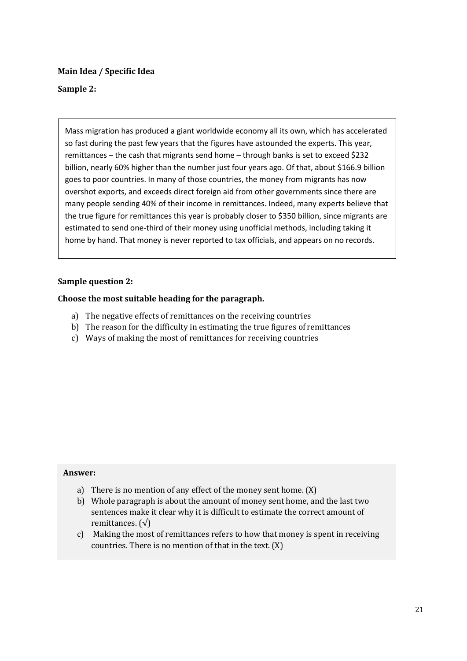## **Main Idea / Specific Idea**

## **Sample 2:**

Mass migration has produced a giant worldwide economy all its own, which has accelerated so fast during the past few years that the figures have astounded the experts. This year, remittances – the cash that migrants send home – through banks is set to exceed \$232 billion, nearly 60% higher than the number just four years ago. Of that, about \$166.9 billion goes to poor countries. In many of those countries, the money from migrants has now overshot exports, and exceeds direct foreign aid from other governments since there are many people sending 40% of their income in remittances. Indeed, many experts believe that the true figure for remittances this year is probably closer to \$350 billion, since migrants are estimated to send one-third of their money using unofficial methods, including taking it home by hand. That money is never reported to tax officials, and appears on no records.

#### **Sample question 2:**

#### **Choose the most suitable heading for the paragraph.**

- a) The negative effects of remittances on the receiving countries
- b) The reason for the difficulty in estimating the true figures of remittances
- c) Ways of making the most of remittances for receiving countries

- a) There is no mention of any effect of the money sent home.(X)
- b) Whole paragraph is about the amount of money sent home, and the last two sentences make it clear why it is difficult to estimate the correct amount of remittances.  $(\sqrt{})$
- c) Making the most of remittances refers to how that money is spent in receiving countries. There is no mention of that in the text. (X)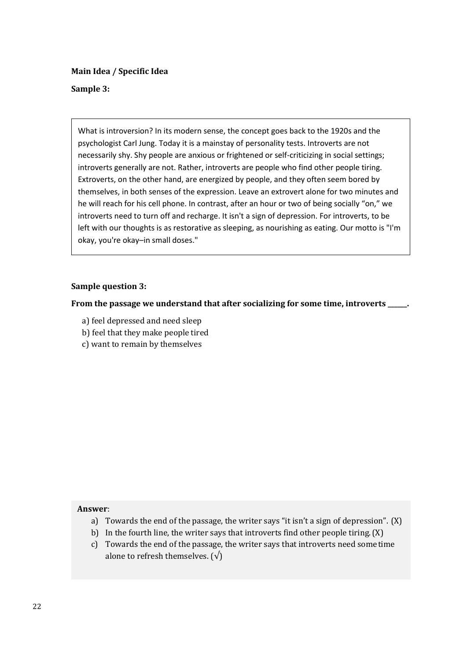**Main Idea / Specific Idea** 

#### **Sample 3:**

What is introversion? In its modern sense, the concept goes back to the 1920s and the psychologist Carl Jung. Today it is a mainstay of personality tests. Introverts are not necessarily shy. Shy people are anxious or frightened or self-criticizing in social settings; introverts generally are not. Rather, introverts are people who find other people tiring. Extroverts, on the other hand, are energized by people, and they often seem bored by themselves, in both senses of the expression. Leave an extrovert alone for two minutes and he will reach for his cell phone. In contrast, after an hour or two of being socially "on," we introverts need to turn off and recharge. It isn't a sign of depression. For introverts, to be left with our thoughts is as restorative as sleeping, as nourishing as eating. Our motto is "I'm okay, you're okay–in small doses."

#### **Sample question 3:**

**From the passage we understand that after socializing for some time, introverts \_\_\_\_\_\_.**

- a) feel depressed and need sleep
- b) feel that they make people tired
- c) want to remain by themselves

- a) Towards the end of the passage, the writer says "it isn't a sign of depression". (X)
- b) In the fourth line, the writer says that introverts find other people tiring.(X)
- c) Towards the end of the passage, the writer says that introverts need sometime alone to refresh themselves.  $(\sqrt{})$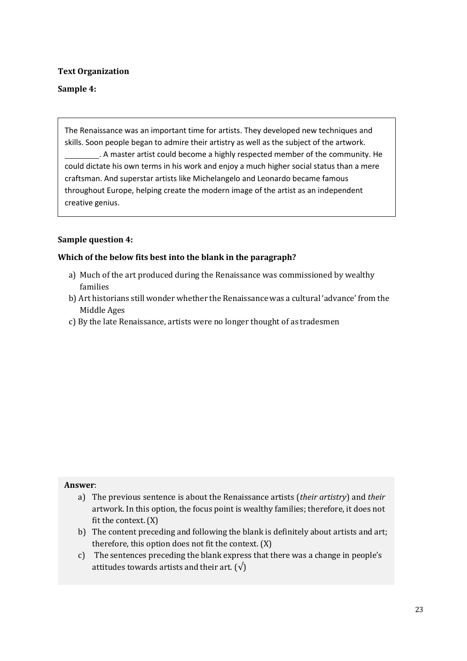# **Text Organization**

# **Sample 4:**

The Renaissance was an important time for artists. They developed new techniques and skills. Soon people began to admire their artistry as well as the subject of the artwork.

. A master artist could become a highly respected member of the community. He could dictate his own terms in his work and enjoy a much higher social status than a mere craftsman. And superstar artists like Michelangelo and Leonardo became famous throughout Europe, helping create the modern image of the artist as an independent creative genius.

# **Sample question 4:**

#### **Which of the below fits best into the blank in the paragraph?**

- a) Much of the art produced during the Renaissance was commissioned by wealthy families
- b) Art historians still wonder whether the Renaissance was a cultural 'advance' from the Middle Ages
- c) By the late Renaissance, artists were no longer thought of as tradesmen

- a) The previous sentence is about the Renaissance artists (*their artistry*) and *their*  artwork. In this option, the focus point is wealthy families; therefore, it does not fit the context. (X)
- b) The content preceding and following the blank is definitely about artists and art; therefore, this option does not fit the context. (X)
- c) The sentences preceding the blank express that there was a change in people's attitudes towards artists and their art.  $(\sqrt)$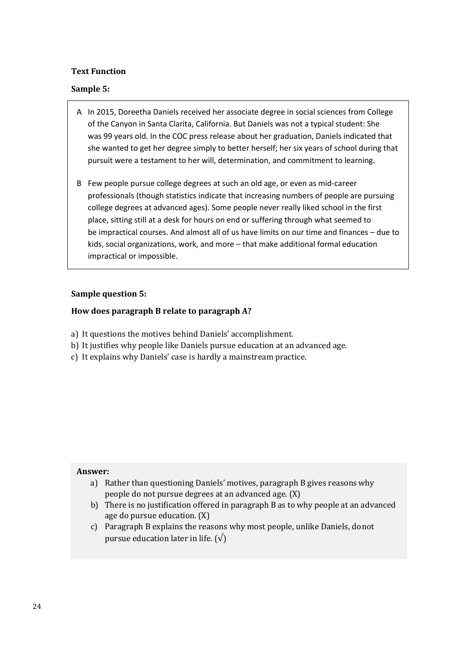# **Text Function**

## **Sample 5:**

- A In 2015, Doreetha Daniels received her associate degree in social sciences from College of the Canyon in Santa Clarita, California. But Daniels was not a typical student: She was 99 years old. In the COC press release about her graduation, Daniels indicated that she wanted to get her degree simply to better herself; her six years of school during that pursuit were a testament to her will, determination, and commitment to learning.
- B Few people pursue college degrees at such an old age, or even as mid-career professionals (though statistics indicate that increasing numbers of people are pursuing college degrees at advanced ages). Some people never really liked school in the first place, sitting still at a desk for hours on end or suffering through what seemed to be impractical courses. And almost all of us have limits on our time and finances – due to kids, social organizations, work, and more – that make additional formal education impractical or impossible.

#### **Sample question 5:**

#### **How does paragraph B relate to paragraph A?**

- a) It questions the motives behind Daniels' accomplishment.
- b) It justifies why people like Daniels pursue education at an advanced age.
- c) It explains why Daniels' case is hardly a mainstream practice.

- a) Rather than questioning Daniels' motives, paragraph B gives reasons why people do not pursue degrees at an advanced age. (X)
- b) There is no justification offered in paragraph B as to why people at an advanced age do pursue education.(X)
- c) Paragraph B explains the reasons why most people, unlike Daniels, donot pursue education later in life.  $(\sqrt{})$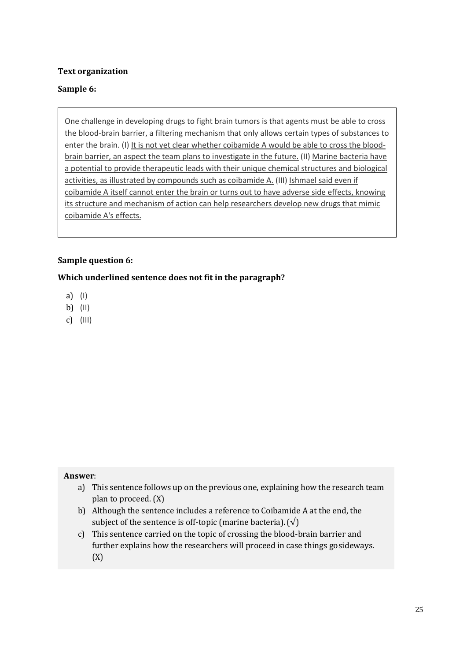# **Text organization**

# **Sample 6:**

One challenge in developing drugs to fight brain tumors is that agents must be able to cross the blood-brain barrier, a filtering mechanism that only allows certain types of substances to enter the brain. (I) It is not yet clear whether coibamide A would be able to cross the bloodbrain barrier, an aspect the team plans to investigate in the future. (II) Marine bacteria have a potential to provide therapeutic leads with their unique chemical structures and biological activities, as illustrated by compounds such as coibamide A. (III) Ishmael said even if coibamide A itself cannot enter the brain or turns out to have adverse side effects, knowing its structure and mechanism of action can help researchers develop new drugs that mimic coibamide A's effects.

#### **Sample question 6:**

#### **Which underlined sentence does not fit in the paragraph?**

- a) (I)
- b) (II)
- c) (III)

- a) This sentence follows up on the previous one, explaining how the research team plan to proceed. (X)
- b) Although the sentence includes a reference to Coibamide A at the end, the subject of the sentence is off-topic (marine bacteria).  $(\sqrt)$
- c) This sentence carried on the topic of crossing the blood-brain barrier and further explains how the researchers will proceed in case things gosideways. (X)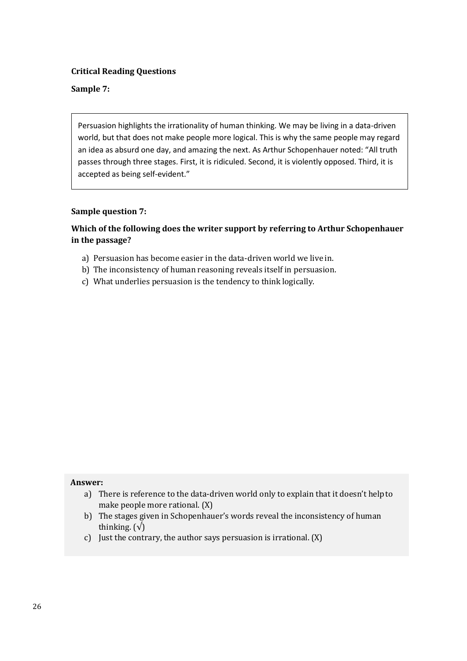## **Sample 7:**

Persuasion highlights the irrationality of human thinking. We may be living in a data-driven world, but that does not make people more logical. This is why the same people may regard an idea as absurd one day, and amazing the next. As Arthur Schopenhauer noted: "All truth passes through three stages. First, it is ridiculed. Second, it is violently opposed. Third, it is accepted as being self-evident."

#### **Sample question 7:**

# **Which of the following does the writer support by referring to Arthur Schopenhauer in the passage?**

- a) Persuasion has become easier in the data-driven world we live in.
- b) The inconsistency of human reasoning reveals itself in persuasion.
- c) What underlies persuasion is the tendency to think logically.

- a) There is reference to the data-driven world only to explain that it doesn't help to make people more rational. (X)
- b) The stages given in Schopenhauer's words reveal the inconsistency of human thinking.  $(\sqrt{)}$
- c) Just the contrary, the author says persuasion is irrational. (X)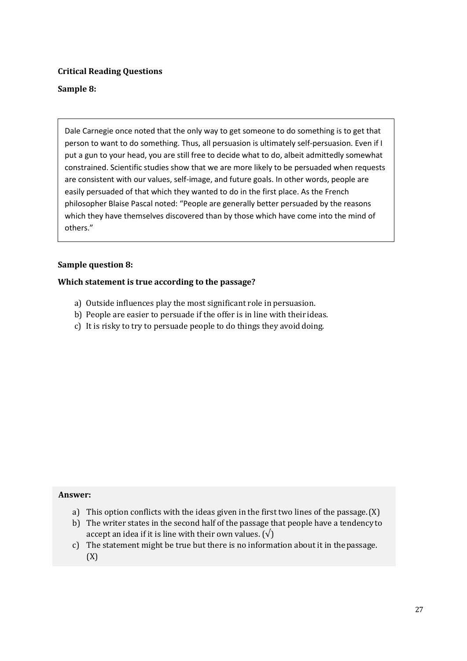# **Sample 8:**

Dale Carnegie once noted that the only way to get someone to do something is to get that person to want to do something. Thus, all persuasion is ultimately self-persuasion. Even if I put a gun to your head, you are still free to decide what to do, albeit admittedly somewhat constrained. Scientific studies show that we are more likely to be persuaded when requests are consistent with our values, self-image, and future goals. In other words, people are easily persuaded of that which they wanted to do in the first place. As the French philosopher Blaise Pascal noted: "People are generally better persuaded by the reasons which they have themselves discovered than by those which have come into the mind of others."

#### **Sample question 8:**

#### **Which statement is true according to the passage?**

- a) Outside influences play the most significant role in persuasion.
- b) People are easier to persuade if the offer is in line with their ideas.
- c) It is risky to try to persuade people to do things they avoid doing.

- a) This option conflicts with the ideas given in the first two lines of the passage.(X)
- b) The writer states in the second half of the passage that people have a tendency to accept an idea if it is line with their own values.  $(\sqrt{})$
- c) The statement might be true but there is no information about it in thepassage. (X)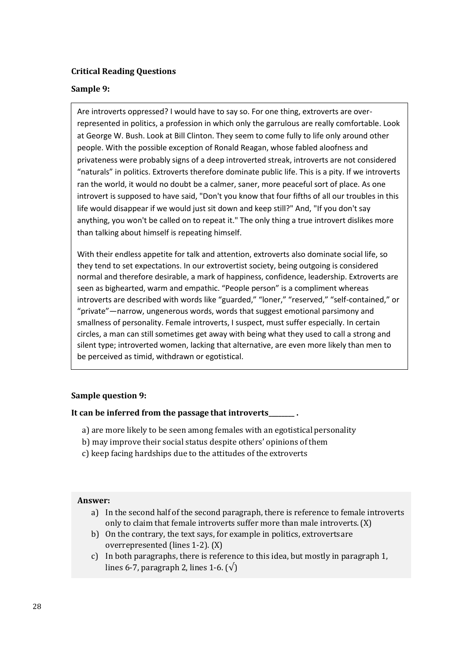## **Sample 9:**

Are introverts oppressed? I would have to say so. For one thing, extroverts are overrepresented in politics, a profession in which only the garrulous are really comfortable. Look at George W. Bush. Look at Bill Clinton. They seem to come fully to life only around other people. With the possible exception of Ronald Reagan, whose fabled aloofness and privateness were probably signs of a deep introverted streak, introverts are not considered "naturals" in politics. Extroverts therefore dominate public life. This is a pity. If we introverts ran the world, it would no doubt be a calmer, saner, more peaceful sort of place. As one introvert is supposed to have said, "Don't you know that four fifths of all our troubles in this life would disappear if we would just sit down and keep still?" And, "If you don't say anything, you won't be called on to repeat it." The only thing a true introvert dislikes more than talking about himself is repeating himself.

With their endless appetite for talk and attention, extroverts also dominate social life, so they tend to set expectations. In our extrovertist society, being outgoing is considered normal and therefore desirable, a mark of happiness, confidence, leadership. Extroverts are seen as bighearted, warm and empathic. "People person" is a compliment whereas introverts are described with words like "guarded," "loner," "reserved," "self-contained," or "private"—narrow, ungenerous words, words that suggest emotional parsimony and smallness of personality. Female introverts, I suspect, must suffer especially. In certain circles, a man can still sometimes get away with being what they used to call a strong and silent type; introverted women, lacking that alternative, are even more likely than men to be perceived as timid, withdrawn or egotistical.

#### **Sample question 9:**

**It can be inferred from the passage that introverts\_\_\_\_\_\_\_\_ .**

- a) are more likely to be seen among females with an egotistical personality
- b) may improve their social status despite others' opinions of them
- c) keep facing hardships due to the attitudes of the extroverts

- a) In the second half of the second paragraph, there is reference to female introverts only to claim that female introverts suffer more than male introverts.(X)
- b) On the contrary, the text says, for example in politics, extrovertsare overrepresented (lines 1-2). (X)
- c) In both paragraphs, there is reference to this idea, but mostly in paragraph 1, lines 6-7, paragraph 2, lines 1-6.  $(\sqrt)$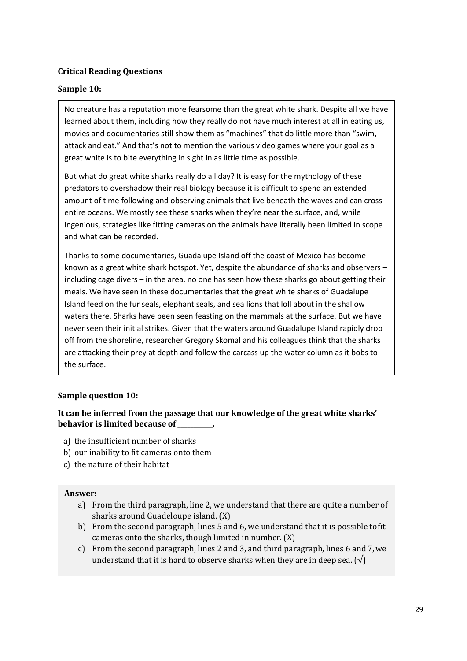#### **Sample 10:**

No creature has a reputation more fearsome than the great white shark. Despite all we have learned about them, including how they really do not have much interest at all i[n eating us,](http://www.theguardian.com/environment/2015/jul/20/sharks-dont-like-to-eat-people-attack-statistics-contradict-untested-theories) movies and documentaries still show them as "machines" that do little more than "swim, attack and eat." And that's not to mention the various video games where your goal as a great white is to bite everything in sight in as little time as possible.

But what do great white sharks really do all day? It is easy for the mythology of these predators to overshadow their real biology because it is difficult to spend an extended amount of time following and observing animals that live beneath the waves and can cross entire oceans. We mostly see these sharks when they're near the surface, and, while ingenious, strategies like fitting cameras on the animals have literally been limited in scope and what can be recorded.

Thanks to some documentaries, Guadalupe Island off the coast of Mexico has become known as a great white shark hotspot. Yet, despite the abundance of sharks and observers – including cage divers – in the area, no one has seen how these sharks go about getting their meals. We have seen in these documentaries that the great white sharks of Guadalupe Island feed on the fur seals, elephant seals, and sea lions that loll about in the shallow waters there. Sharks have been seen feasting on the mammals at the surface. But we have never seen their initial strikes. Given that the waters around Guadalupe Island rapidly drop off from the shoreline, researcher Gregory Skomal and his colleagues think that the sharks are attacking their prey at depth and follow the carcass up the water column as it bobs to the surface.

#### **Sample question 10:**

#### **It can be inferred from the passage that our knowledge of the great white sharks' behavior is limited because of \_\_\_\_\_\_\_\_\_\_\_.**

- a) the insufficient number of sharks
- b) our inability to fit cameras onto them
- c) the nature of their habitat

- a) From the third paragraph, line 2, we understand that there are quite a number of sharks around Guadeloupe island. (X)
- b) From the second paragraph, lines 5 and 6, we understand that it is possible tofit cameras onto the sharks, though limited in number. (X)
- c) From the second paragraph, lines 2 and 3, and third paragraph, lines 6 and 7,we understand that it is hard to observe sharks when they are in deep sea.  $(\sqrt{})$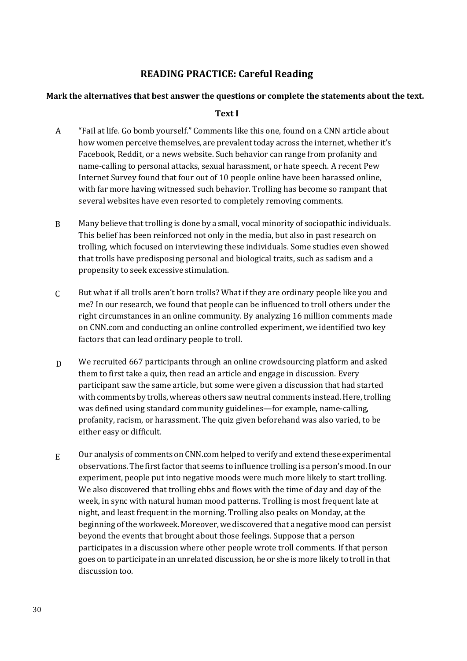# **READING PRACTICE: Careful Reading**

#### **Mark the alternatives that best answer the questions or complete the statements about the text.**

#### **Text I**

- A "Fail at life. Go bomb yourself." Comments like this one, found on a CNN article about how women perceive themselves, are prevalent today across the internet, whether it's Facebook, Reddit, or a news website. Such behavior can range from profanity and name-calling to personal attacks, sexual harassment, or hate speech. A recent Pew Internet Survey found that four out of 10 people online have been harassed online, with far more having witnessed such behavior. Trolling has become so rampant that several websites have even resorted to completely removing comments.
- B Many believe that trolling is done by a small, vocal minority of sociopathic individuals. This belief has been reinforced not only in the media, but also in past research on trolling, which focused on interviewing these individuals. Some studies even showed that trolls have predisposing personal and biological traits, such as sadism and a propensity to seek excessive stimulation.
- $\mathcal{C}$ But what if all trolls aren't born trolls? What if they are ordinary people like you and me? In our research, we found that people can be influenced to troll others under the right circumstances in an online community. By analyzing 16 million comments made on CNN.com and conducting an online controlled experiment, we identified two key factors that can lead ordinary people to troll.
- D We recruited 667 participants through an online crowdsourcing platform and asked them to first take a quiz, then read an article and engage in discussion. Every participant saw the same article, but some were given a discussion that had started with comments by trolls, whereas others saw neutral comments instead. Here, trolling was defined using standard community guidelines—for example, name-calling, profanity, racism, or harassment. The quiz given beforehand was also varied, to be either easy or difficult.
- E Our analysis of comments on CNN.com helped to verify and extend these experimental observations. The first factor that seems to influence trolling is a person's mood.In our experiment, people put into negative moods were much more likely to start trolling. We also discovered that trolling ebbs and flows with the time of day and day of the week, in sync with natural human mood patterns. Trolling is most frequent late at night, and least frequent in the morning. Trolling also peaks on Monday, at the beginning ofthe workweek. Moreover,we discovered that a negative mood can persist beyond the events that brought about those feelings. Suppose that a person participates in a discussion where other people wrote troll comments. If that person goes on to participate in an unrelated discussion, he or she is more likely to troll in that discussion too.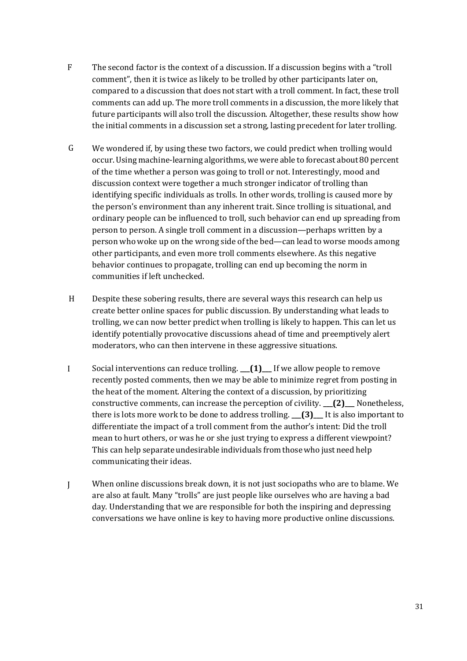- F The second factor is the context of a discussion. If a discussion begins with a "troll comment", then it is twice as likely to be trolled by other participants later on, compared to a discussion that does not start with a troll comment. In fact, these troll comments can add up. The more troll comments in a discussion, the more likely that future participants will also troll the discussion. Altogether, these results show how the initial comments in a discussion set a strong, lasting precedent for later trolling.
- G We wondered if, by using these two factors, we could predict when trolling would occur. Using machine-learning algorithms, wewere able to forecast about 80 percent of the time whether a person was going to troll or not. Interestingly, mood and discussion context were together a much stronger indicator of trolling than identifying specific individuals as trolls. In other words, trolling is caused more by the person's environment than any inherent trait. Since trolling is situational, and ordinary people can be influenced to troll, such behavior can end up spreading from person to person. A single troll comment in a discussion—perhaps written by a person who woke up on the wrong side of the bed—can lead to worse moods among other participants, and even more troll comments elsewhere. As this negative behavior continues to propagate, trolling can end up becoming the norm in communities if left unchecked.
- H Despite these sobering results, there are several ways this research can help us create better online spaces for public discussion. By understanding what leads to trolling, we can now better predict when trolling is likely to happen. This can let us identify potentially provocative discussions ahead of time and preemptively alert moderators, who can then intervene in these aggressive situations.
- I Social interventions can reduce trolling. **\_\_\_(1)\_\_\_** If we allow people to remove recently posted comments, then we may be able to minimize regret from posting in the heat of the moment. Altering the context of a discussion, by prioritizing constructive comments, can increase the perception of civility. **\_\_\_(2)\_\_\_** Nonetheless, there is lots more work to be done to address trolling. **\_\_\_(3)\_\_\_** It is also important to differentiate the impact of a troll comment from the author's intent: Did the troll mean to hurt others, or was he or she just trying to express a different viewpoint? This can help separate undesirable individuals from thosewho just need help communicating their ideas.
- $\mathbf{I}$ When online discussions break down, it is not just sociopaths who are to blame. We are also at fault. Many "trolls" are just people like ourselves who are having a bad day. Understanding that we are responsible for both the inspiring and depressing conversations we have online is key to having more productive online discussions.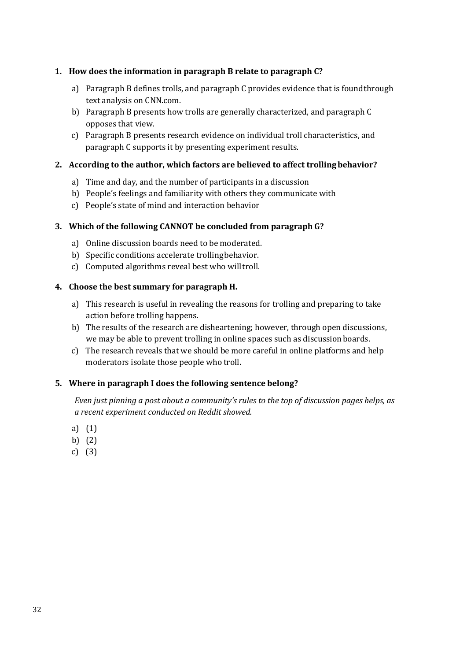# **1. How does the information in paragraph B relate to paragraph C?**

- a) Paragraph B defines trolls, and paragraph C provides evidence that is foundthrough text analysis on CNN.com.
- b) Paragraph B presents how trolls are generally characterized, and paragraph C opposes that view.
- c) Paragraph B presents research evidence on individual troll characteristics, and paragraph C supports it by presenting experiment results.

# **2. According to the author, which factors are believed to affect trollingbehavior?**

- a) Time and day, and the number of participants in a discussion
- b) People's feelings and familiarity with others they communicate with
- c) People's state of mind and interaction behavior

# **3. Which of the following CANNOT be concluded from paragraph G?**

- a) Online discussion boards need to be moderated.
- b) Specific conditions accelerate trollingbehavior.
- c) Computed algorithms reveal best who willtroll.

#### **4. Choose the best summary for paragraph H.**

- a) This research is useful in revealing the reasons for trolling and preparing to take action before trolling happens.
- b) The results of the research are disheartening; however, through open discussions, we may be able to prevent trolling in online spaces such as discussionboards.
- c) The research reveals that we should be more careful in online platforms and help moderators isolate those people who troll.

#### **5. Where in paragraph I does the following sentence belong?**

*Even just pinning a post about a community's rules to the top of discussion pages helps, as a recent experiment conducted on Reddit showed.*

- a) (1)
- b) (2)
- c) (3)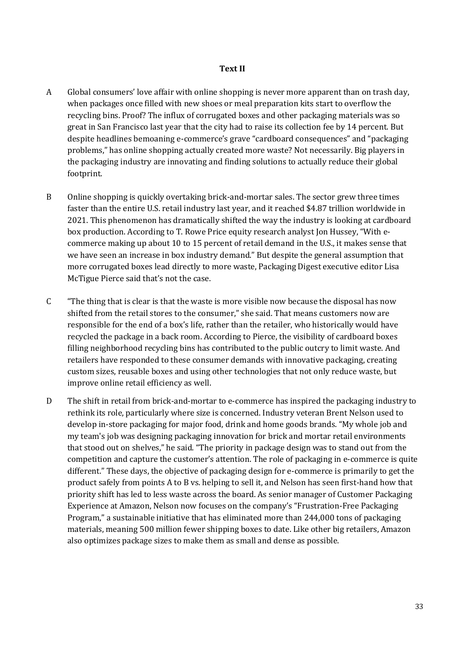#### **Text II**

- A Global consumers' love affair with online shopping is never more apparent than on trash day, when packages once filled with new shoes or meal preparation kits start to overflow the recycling bins. Proof? The influx of corrugated boxes and other packaging materials was so great in San Francisco last year that the city had to raise its collection fee by 14 percent. But despite headlines bemoaning e-commerce's grave "cardboard consequences" and "packaging problems," has online shopping actually created more waste? Not necessarily. Big players in the packaging industry are innovating and finding solutions to actually reduce their global footprint.
- B Online shopping is quickly overtaking brick-and-mortar sales. The sector grew three times faster than the entire U.S. retail industry last year, and it reached \$4.87 trillion worldwide in 2021. This phenomenon has dramatically shifted the way the industry is looking at cardboard box production. According to T. Rowe Price equity research analyst Jon Hussey, "With ecommerce making up about 10 to 15 percent of retail demand in the U.S., it makes sense that we have seen an increase in box industry demand." But despite the general assumption that more corrugated boxes lead directly to more waste, Packaging Digest executive editor Lisa McTigue Pierce said that's not the case.
- C "The thing that is clear is that the waste is more visible now because the disposal has now shifted from the retail stores to the consumer," she said. That means customers now are responsible for the end of a box's life, rather than the retailer, who historically would have recycled the package in a back room. According to Pierce, the visibility of cardboard boxes filling neighborhood recycling bins has contributed to the public outcry to limit waste. And retailers have responded to these consumer demands with innovative packaging, creating custom sizes, reusable boxes and using other technologies that not only reduce waste, but improve online retail efficiency as well.
- D The shift in retail from brick-and-mortar to e-commerce has inspired the packaging industry to rethink its role, particularly where size is concerned. Industry veteran Brent Nelson used to develop in-store packaging for major food, drink and home goods brands. "My whole job and my team's job was designing packaging innovation for brick and mortar retail environments that stood out on shelves," he said. "The priority in package design was to stand out from the competition and capture the customer's attention. The role of packaging in e-commerce is quite different." These days, the objective of packaging design for e-commerce is primarily to get the product safely from points A to B vs. helping to sell it, and Nelson has seen first-hand how that priority shift has led to less waste across the board. As senior manager of Customer Packaging Experience at Amazon, Nelson now focuses on the company's "Frustration-Free Packaging Program," a sustainable initiative that has eliminated more than 244,000 tons of packaging materials, meaning 500 million fewer shipping boxes to date. Like other big retailers, Amazon also optimizes package sizes to make them as small and dense as possible.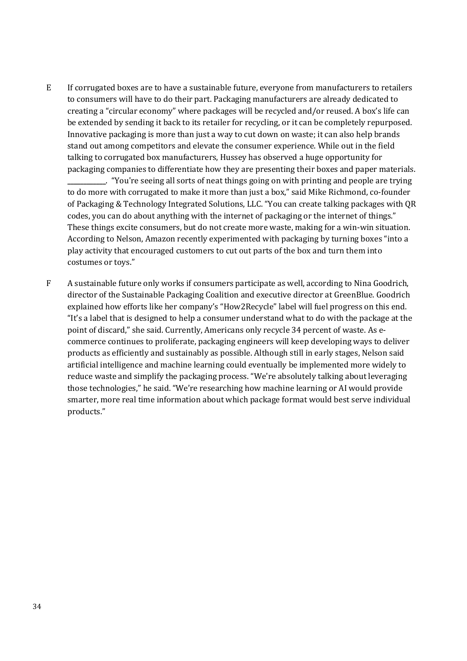E If corrugated boxes are to have a sustainable future, everyone from manufacturers to retailers to consumers will have to do their part. Packaging manufacturers are already dedicated to creating a "circular economy" where packages will be recycled and/or reused. A box's life can be extended by sending it back to its retailer for recycling, or it can be completely repurposed. Innovative packaging is more than just a way to cut down on waste; it can also help brands stand out among competitors and elevate the consumer experience. While out in the field talking to corrugated box manufacturers, Hussey has observed a huge opportunity for packaging companies to differentiate how they are presenting their boxes and paper materials. **\_\_\_\_\_\_\_\_\_\_\_\_**. "You're seeing all sorts of neat things going on with printing and people are trying to do more with corrugated to make it more than just a box," said Mike Richmond, co-founder of Packaging & Technology Integrated Solutions, LLC. "You can create talking packages with QR

codes, you can do about anything with the internet of packaging or the internet of things." These things excite consumers, but do not create more waste, making for a win-win situation. According to Nelson, Amazon recently experimented with packaging by turning boxes "into a play activity that encouraged customers to cut out parts of the box and turn them into costumes or toys."

F A sustainable future only works if consumers participate as well, according to Nina Goodrich, director of the Sustainable Packaging Coalition and executive director at GreenBlue. Goodrich explained how efforts like her company's "How2Recycle" label will fuel progress on this end. "It's a label that is designed to help a consumer understand what to do with the package at the point of discard," she said. Currently, Americans only recycle 34 percent of waste. As ecommerce continues to proliferate, packaging engineers will keep developing ways to deliver products as efficiently and sustainably as possible. Although still in early stages, Nelson said artificial intelligence and machine learning could eventually be implemented more widely to reduce waste and simplify the packaging process. "We're absolutely talking about leveraging those technologies," he said. "We're researching how machine learning or AI would provide smarter, more real time information about which package format would best serve individual products."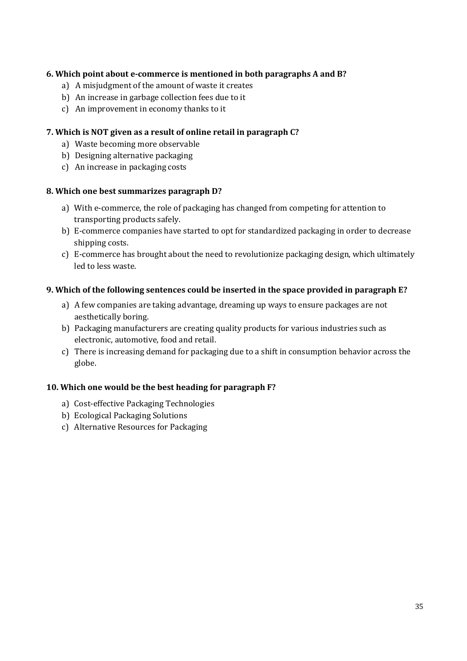# **6. Which point about e-commerce is mentioned in both paragraphs A and B?**

- a) A misjudgment of the amount of waste it creates
- b) An increase in garbage collection fees due to it
- c) An improvement in economy thanks to it

## **7. Which is NOT given as a result of online retail in paragraph C?**

- a) Waste becoming more observable
- b) Designing alternative packaging
- c) An increase in packaging costs

#### **8. Which one best summarizes paragraph D?**

- a) With e-commerce, the role of packaging has changed from competing for attention to transporting products safely.
- b) E-commerce companies have started to opt for standardized packaging in order to decrease shipping costs.
- c) E-commerce has brought about the need to revolutionize packaging design, which ultimately led to less waste.

#### **9. Which of the following sentences could be inserted in the space provided in paragraph E?**

- a) A few companies are taking advantage, dreaming up ways to ensure packages are not aesthetically boring.
- b) Packaging manufacturers are creating quality products for various industries such as electronic, automotive, food and retail.
- c) There is increasing demand for packaging due to a shift in consumption behavior across the globe.

# **10. Which one would be the best heading for paragraph F?**

- a) Cost-effective Packaging Technologies
- b) Ecological Packaging Solutions
- c) Alternative Resources for Packaging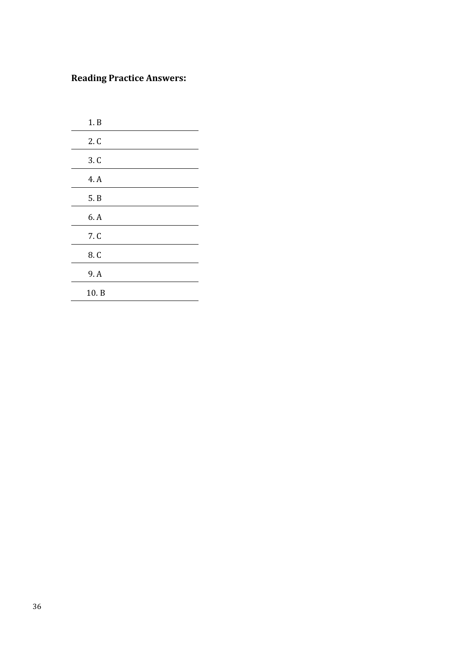# **Reading Practice Answers:**

| 1. B |
|------|
| 2. C |
| 3. C |
| 4. A |
| 5. B |
| 6. A |
| 7. C |
| 8. C |
| 9. A |
| 10.B |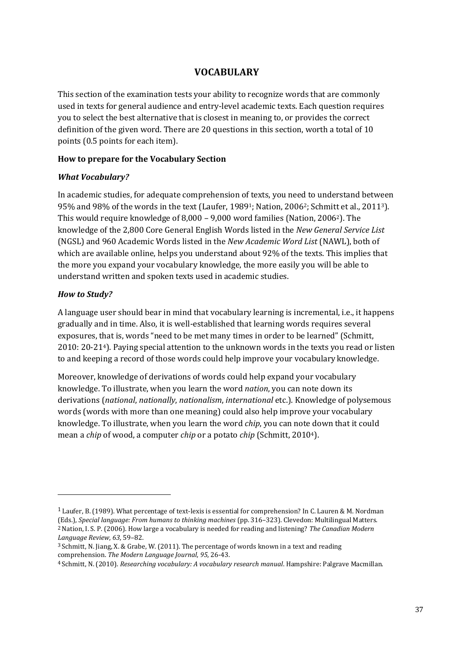# **VOCABULARY**

This section of the examination tests your ability to recognize words that are commonly used in texts for general audience and entry-level academic texts. Each question requires you to select the best alternative that is closest in meaning to, or provides the correct definition of the given word. There are 20 questions in this section, worth a total of 10 points (0.5 points for each item).

#### **How to prepare for the Vocabulary Section**

#### *What Vocabulary?*

In academic studies, for adequate comprehension of texts, you need to understand between 95% and 98% of the words in the text (Laufer, 1989<sup>1</sup>; Nation, 2006<sup>2</sup>; Schmitt et al., 2011<sup>3</sup>). This would require knowledge of 8,000 – 9,000 word families (Nation, 2006[2](#page-36-0)). The knowledge of the 2,800 Core General English Words listed in the *New General Service List*  (NGSL) and 960 Academic Words listed in the *New Academic Word List* (NAWL), both of which are available online, helps you understand about 92% of the texts. This implies that the more you expand your vocabulary knowledge, the more easily you will be able to understand written and spoken texts used in academic studies.

#### *How to Study?*

A language user should bear in mind that vocabulary learning is incremental, i.e., it happens gradually and in time. Also, it is well-established that learning words requires several exposures, that is, words "need to be met many times in order to be learned" (Schmitt, 2010: 20-214). Paying special attention to the unknown words in the texts you read or listen to and keeping a record of those words could help improve your vocabulary knowledge.

Moreover, knowledge of derivations of words could help expand your vocabulary knowledge. To illustrate, when you learn the word *nation*, you can note down its derivations (*national*, *nationally*, *nationalism*, *international* etc.). Knowledge of polysemous words (words with more than one meaning) could also help improve your vocabulary knowledge. To illustrate, when you learn the word *chip*, you can note down that it could mean a *chip* of wood, a computer *chip* or a potato *chip* (Schmitt, 20104).

<span id="page-36-0"></span><sup>1</sup> Laufer, B. (1989). What percentage of text-lexis is essential for comprehension? In C. Lauren & M. Nordman (Eds.), *Special language: From humans to thinking machines* (pp. 316–323). Clevedon: Multilingual Matters. 2 Nation, I. S. P. (2006). How large a vocabulary is needed for reading and listening? *The Canadian Modern Language Review*, *63*, 59–82.

<sup>3</sup> Schmitt, N. Jiang, X. & Grabe, W. (2011). The percentage of words known in a text and reading comprehension. *The Modern Language Journal*, *95*, 26-43.

<sup>4</sup> Schmitt, N. (2010). *Researching vocabulary: A vocabulary research manual*. Hampshire: Palgrave Macmillan.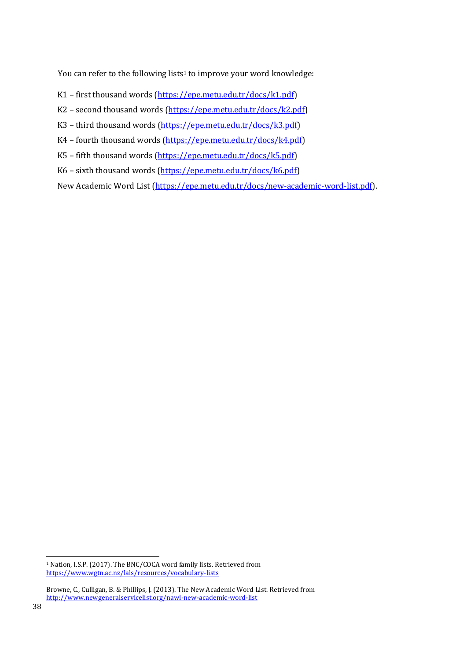You can refer to the following lists<sup>1</sup> to improve your word knowledge:

- K1 first thousand words [\(https://epe.metu.edu.tr/docs/k1.pdf\)](https://epe.metu.edu.tr/docs/k1.pdf)
- K2 second thousand words [\(https://epe.metu.edu.tr/docs/k2.pdf\)](https://epe.metu.edu.tr/docs/k2.pdf)
- K3 third thousand words [\(https://epe.metu.edu.tr/docs/k3.pdf\)](https://epe.metu.edu.tr/docs/k3.pdf)
- K4 fourth thousand words [\(https://epe.metu.edu.tr/docs/k4.pdf\)](https://epe.metu.edu.tr/docs/k4.pdf)
- K5 fifth thousand words [\(https://epe.metu.edu.tr/docs/k5.pdf\)](https://epe.metu.edu.tr/docs/k5.pdf)
- K6 sixth thousand words [\(https://epe.metu.edu.tr/docs/k6.pdf\)](https://epe.metu.edu.tr/docs/k6.pdf)

New Academic Word List [\(https://epe.metu.edu.tr/docs/new-academic-word-list.pdf\)](https://epe.metu.edu.tr/docs/new-academic-word-list.pdf).

l

<sup>1</sup> Nation, I.S.P. (2017). The BNC/COCA word family lists. Retrieved from <https://www.wgtn.ac.nz/lals/resources/vocabulary-lists>

Browne, C., Culligan, B. & Phillips, J. (2013). The New Academic Word List. Retrieved from <http://www.newgeneralservicelist.org/nawl-new-academic-word-list>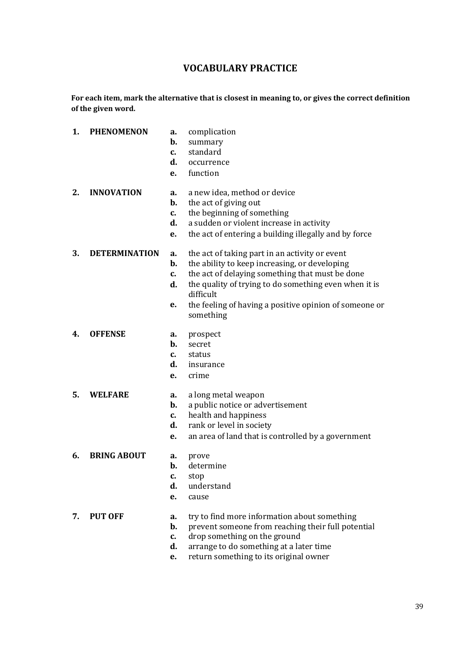# **VOCABULARY PRACTICE**

**For each item, mark the alternative that is closest in meaning to, or gives the correct definition of the given word.**

| 1. | <b>PHENOMENON</b>    | a.<br>b.<br>$c_{\cdot}$<br>d.<br>e. | complication<br>summary<br>standard<br>occurrence<br>function                                                                                                                                                                                                                                   |
|----|----------------------|-------------------------------------|-------------------------------------------------------------------------------------------------------------------------------------------------------------------------------------------------------------------------------------------------------------------------------------------------|
| 2. | <b>INNOVATION</b>    | а.<br>b.<br>c.<br>d.<br>e.          | a new idea, method or device<br>the act of giving out<br>the beginning of something<br>a sudden or violent increase in activity<br>the act of entering a building illegally and by force                                                                                                        |
| 3. | <b>DETERMINATION</b> | a.<br>b.<br>c.<br>d.<br>е.          | the act of taking part in an activity or event<br>the ability to keep increasing, or developing<br>the act of delaying something that must be done<br>the quality of trying to do something even when it is<br>difficult<br>the feeling of having a positive opinion of someone or<br>something |
| 4. | <b>OFFENSE</b>       | a.<br>b.<br>c.<br>d.<br>е.          | prospect<br>secret<br>status<br>insurance<br>crime                                                                                                                                                                                                                                              |
| 5. | <b>WELFARE</b>       | a.<br>b.<br>c.<br>d.<br>е.          | a long metal weapon<br>a public notice or advertisement<br>health and happiness<br>rank or level in society<br>an area of land that is controlled by a government                                                                                                                               |
| 6. | <b>BRING ABOUT</b>   | a.<br>b.<br>c.<br>d.<br>е.          | prove<br>determine<br>stop<br>understand<br>cause                                                                                                                                                                                                                                               |
| 7. | <b>PUT OFF</b>       | a.<br>b.<br>c.<br>d.<br>e.          | try to find more information about something<br>prevent someone from reaching their full potential<br>drop something on the ground<br>arrange to do something at a later time<br>return something to its original owner                                                                         |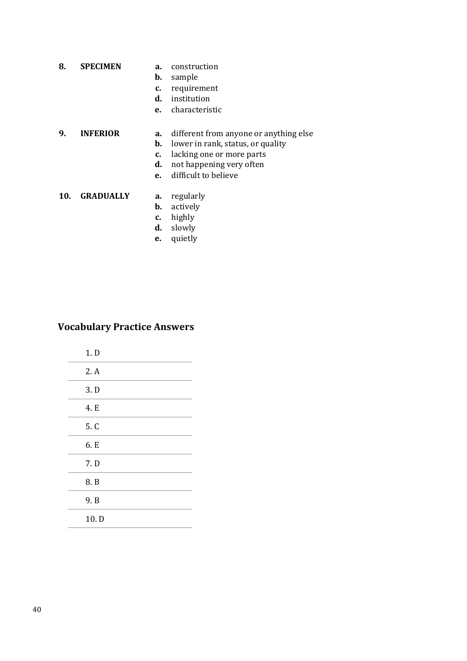- **8. SPECIMEN a.** construction
	- **b.** sample
	- **c.** requirement
	- **d.** institution
	- **e.** characteristic

# **9. INFERIOR a.** different from anyone or anything else

- **b.** lower in rank, status, or quality
- **c.** lacking one or more parts
- **d.** not happening very often
- **e.** difficult to believe

## **10. GRADUALLY a.** regularly

- **b.** actively
- **c.** highly
- **d.** slowly
- **e.** quietly

# **Vocabulary Practice Answers**

| 1. D |
|------|
| 2.A  |
| 3.D  |
| 4. E |
| 5. C |
| 6. E |
| 7. D |
| 8. B |
| 9. B |
| 10.D |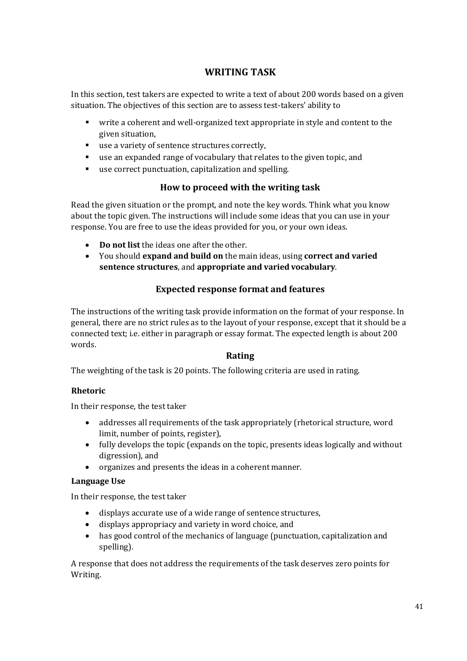# **WRITING TASK**

In this section, test takers are expected to write a text of about 200 words based on a given situation. The objectives of this section are to assess test-takers' ability to

- write a coherent and well-organized text appropriate in style and content to the given situation,
- use a variety of sentence structures correctly,
- use an expanded range of vocabulary that relates to the given topic, and
- use correct punctuation, capitalization and spelling.

# **How to proceed with the writing task**

Read the given situation or the prompt, and note the key words. Think what you know about the topic given. The instructions will include some ideas that you can use in your response. You are free to use the ideas provided for you, or your own ideas.

- **Do not list** the ideas one after the other.
- You should **expand and build on** the main ideas, using **correct and varied sentence structures**, and **appropriate and varied vocabulary**.

# **Expected response format and features**

The instructions of the writing task provide information on the format of your response. In general, there are no strict rules as to the layout of your response, except that it should be a connected text; i.e. either in paragraph or essay format. The expected length is about 200 words.

# **Rating**

The weighting of the task is 20 points. The following criteria are used in rating.

# **Rhetoric**

In their response, the test taker

- addresses all requirements of the task appropriately (rhetorical structure, word limit, number of points, register),
- fully develops the topic (expands on the topic, presents ideas logically and without digression), and
- organizes and presents the ideas in a coherent manner.

# **Language Use**

In their response, the test taker

- displays accurate use of a wide range of sentence structures,
- displays appropriacy and variety in word choice, and
- has good control of the mechanics of language (punctuation, capitalization and spelling).

A response that does not address the requirements of the task deserves zero points for Writing.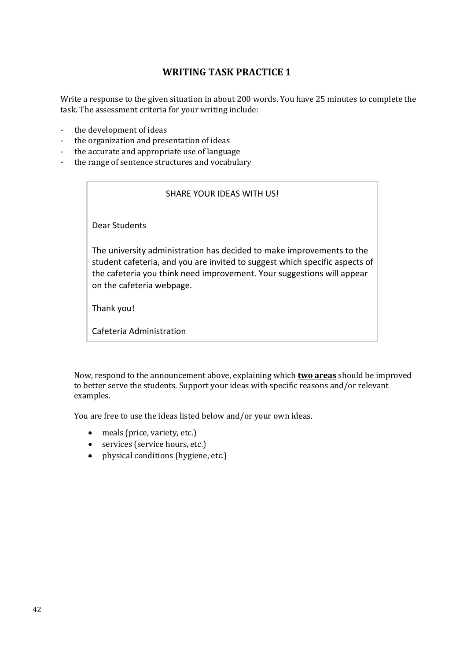# **WRITING TASK PRACTICE 1**

Write a response to the given situation in about 200 words. You have 25 minutes to complete the task. The assessment criteria for your writing include:

- the development of ideas
- the organization and presentation of ideas
- the accurate and appropriate use of language
- the range of sentence structures and vocabulary

#### SHARE YOUR IDEAS WITH US!

Dear Students

The university administration has decided to make improvements to the student cafeteria, and you are invited to suggest which specific aspects of the cafeteria you think need improvement. Your suggestions will appear on the cafeteria webpage.

Thank you!

Cafeteria Administration

Now, respond to the announcement above, explaining which **two areas** should be improved to better serve the students. Support your ideas with specific reasons and/or relevant examples.

You are free to use the ideas listed below and/or your own ideas.

- meals (price, variety, etc.)
- services (service hours, etc.)
- physical conditions (hygiene, etc.)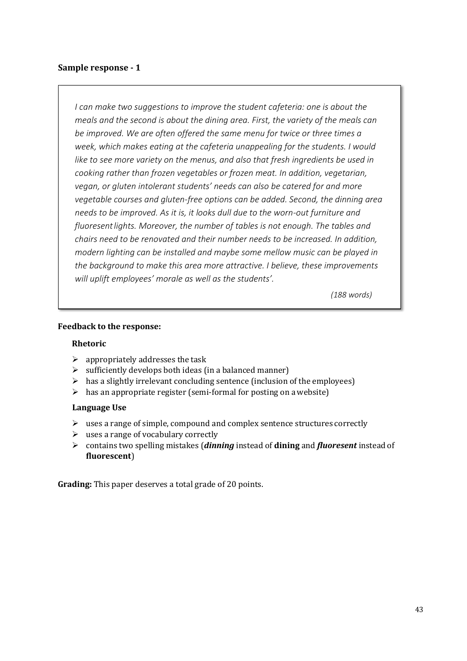*I* can make two suggestions to improve the student cafeteria: one is about the *meals and the second is about the dining area. First, the variety of the meals can be improved. We are often offered the same menu for twice or three times a week, which makes eating at the cafeteria unappealing for the students. I would like to see more variety on the menus, and also that fresh ingredients be used in cooking rather than frozen vegetables or frozen meat. In addition, vegetarian, vegan, or gluten intolerant students' needs can also be catered for and more vegetable courses and gluten-free options can be added. Second, the dinning area needs to be improved. As it is, it looks dull due to the worn-out furniture and fluoresentlights. Moreover, the number of tables is not enough. The tables and chairs need to be renovated and their number needs to be increased. In addition, modern lighting can be installed and maybe some mellow music can be played in the background to make this area more attractive. I believe, these improvements will uplift employees' morale as well as the students'.*

*(188 words)*

#### **Feedback to the response:**

#### **Rhetoric**

- $\triangleright$  appropriately addresses the task
- $\triangleright$  sufficiently develops both ideas (in a balanced manner)
- $\triangleright$  has a slightly irrelevant concluding sentence (inclusion of the employees)
- $\triangleright$  has an appropriate register (semi-formal for posting on a website)

#### **Language Use**

- $\triangleright$  uses a range of simple, compound and complex sentence structures correctly
- $\triangleright$  uses a range of vocabulary correctly
- ➢ contains two spelling mistakes (*dinning* instead of **dining** and *fluoresent* instead of **fluorescent**)

**Grading:** This paper deserves a total grade of 20 points.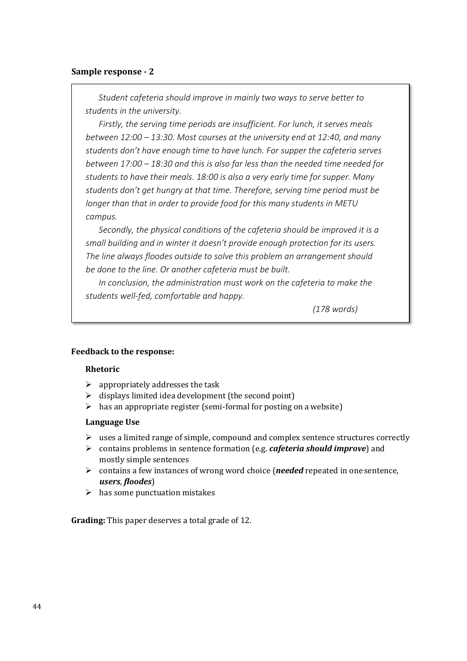*Student cafeteria should improve in mainly two ways to serve better to students in the university.*

*Firstly, the serving time periods are insufficient. For lunch, it serves meals between 12:00 – 13:30. Most courses at the university end at 12:40, and many students don't have enough time to have lunch. For supper the cafeteria serves between 17:00 – 18:30 and this is also far less than the needed time needed for students to have their meals. 18:00 is also a very early time for supper. Many students don't get hungry at that time. Therefore, serving time period must be longer than that in order to provide food for this many students in METU campus.*

*Secondly, the physical conditions of the cafeteria should be improved it is a small building and in winter it doesn't provide enough protection for its users. The line always floodes outside to solve this problem an arrangement should be done to the line. Or another cafeteria must be built.*

*In conclusion, the administration must work on the cafeteria to make the students well-fed, comfortable and happy.* 

*(178 words)*

#### **Feedback to the response:**

#### **Rhetoric**

- $\triangleright$  appropriately addresses the task
- $\triangleright$  displays limited idea development (the second point)
- $\triangleright$  has an appropriate register (semi-formal for posting on a website)

#### **Language Use**

- $\triangleright$  uses a limited range of simple, compound and complex sentence structures correctly
- ➢ contains problems in sentence formation (e.g. *cafeteria should improve*) and mostly simple sentences
- ➢ contains a few instances of wrong word choice (*needed* repeated in one sentence, *users*, *floodes*)
- $\triangleright$  has some punctuation mistakes

**Grading:** This paper deserves a total grade of 12.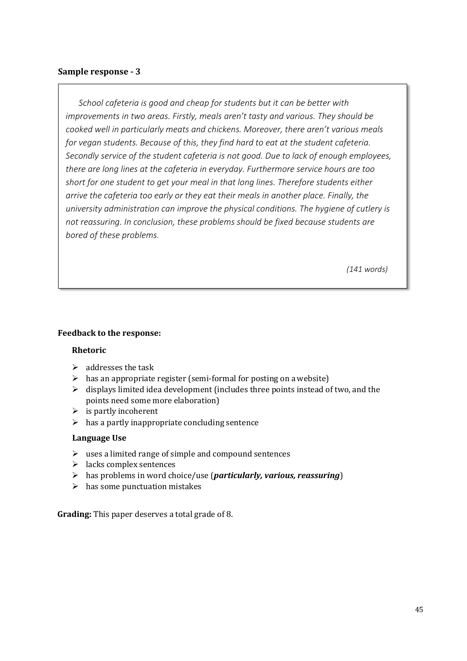*School cafeteria is good and cheap for students but it can be better with improvements in two areas. Firstly, meals aren't tasty and various. They should be cooked well in particularly meats and chickens. Moreover, there aren't various meals for vegan students. Because of this, they find hard to eat at the student cafeteria. Secondly service of the student cafeteria is not good. Due to lack of enough employees, there are long lines at the cafeteria in everyday. Furthermore service hours are too short for one student to get your meal in that long lines. Therefore students either arrive the cafeteria too early or they eat their meals in another place. Finally, the university administration can improve the physical conditions. The hygiene of cutlery is not reassuring. In conclusion, these problems should be fixed because students are bored of these problems.*

*(141 words)*

#### **Feedback to the response:**

#### **Rhetoric**

- $\triangleright$  addresses the task
- $\triangleright$  has an appropriate register (semi-formal for posting on a website)
- $\triangleright$  displays limited idea development (includes three points instead of two, and the points need some more elaboration)
- $\triangleright$  is partly incoherent
- $\triangleright$  has a partly inappropriate concluding sentence

#### **Language Use**

- $\triangleright$  uses a limited range of simple and compound sentences
- $\triangleright$  lacks complex sentences
- ➢ has problems in word choice/use (*particularly, various, reassuring*)
- $\triangleright$  has some punctuation mistakes

**Grading:** This paper deserves a total grade of 8.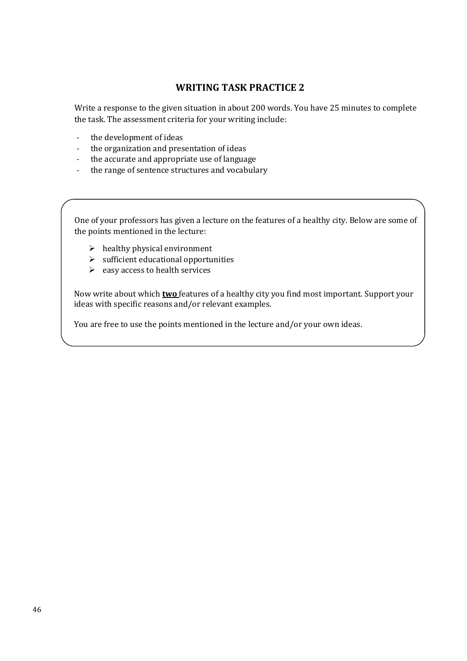# **WRITING TASK PRACTICE 2**

Write a response to the given situation in about 200 words. You have 25 minutes to complete the task. The assessment criteria for your writing include:

- the development of ideas
- the organization and presentation of ideas
- the accurate and appropriate use of language
- the range of sentence structures and vocabulary

One of your professors has given a lecture on the features of a healthy city. Below are some of the points mentioned in the lecture:

- $\triangleright$  healthy physical environment
- $\triangleright$  sufficient educational opportunities
- $\triangleright$  easy access to health services

Now write about which **two** features of a healthy city you find most important. Support your ideas with specific reasons and/or relevant examples.

You are free to use the points mentioned in the lecture and/or your own ideas.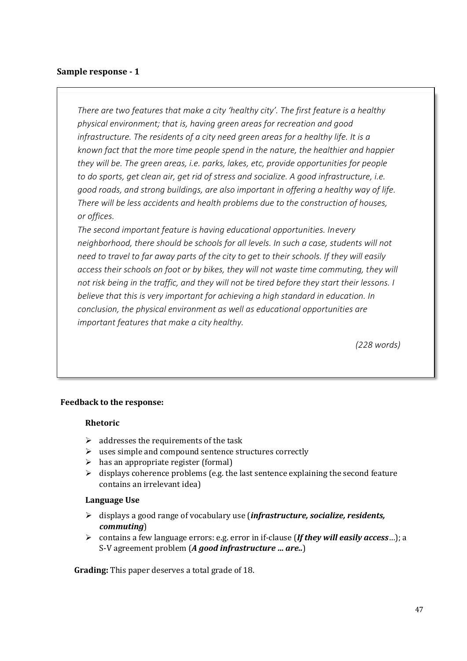*There are two features that make a city 'healthy city'. The first feature is a healthy physical environment; that is, having green areas for recreation and good infrastructure. The residents of a city need green areas for a healthy life. It is a known fact that the more time people spend in the nature, the healthier and happier they will be. The green areas, i.e. parks, lakes, etc, provide opportunities for people to do sports, get clean air, get rid of stress and socialize. A good infrastructure, i.e. good roads, and strong buildings, are also important in offering a healthy way of life. There will be less accidents and health problems due to the construction of houses, or offices.*

*The second important feature is having educational opportunities. Inevery neighborhood, there should be schools for all levels. In such a case, students will not need to travel to far away parts of the city to get to their schools. If they will easily access their schools on foot or by bikes, they will not waste time commuting, they will not risk being in the traffic, and they will not be tired before they start their lessons. I believe that this is very important for achieving a high standard in education. In conclusion, the physical environment as well as educational opportunities are important features that make a city healthy.*

*(228 words)*

#### **Feedback to the response:**

#### **Rhetoric**

- $\triangleright$  addresses the requirements of the task
- ➢ uses simple and compound sentence structures correctly
- $\triangleright$  has an appropriate register (formal)
- $\triangleright$  displays coherence problems (e.g. the last sentence explaining the second feature contains an irrelevant idea)

#### **Language Use**

- ➢ displays a good range of vocabulary use (*infrastructure, socialize, residents, commuting*)
- ➢ contains a few language errors: e.g. error in if-clause (*If they will easily access*…); a S-V agreement problem (*A good infrastructure … are..*)

**Grading:** This paper deserves a total grade of 18.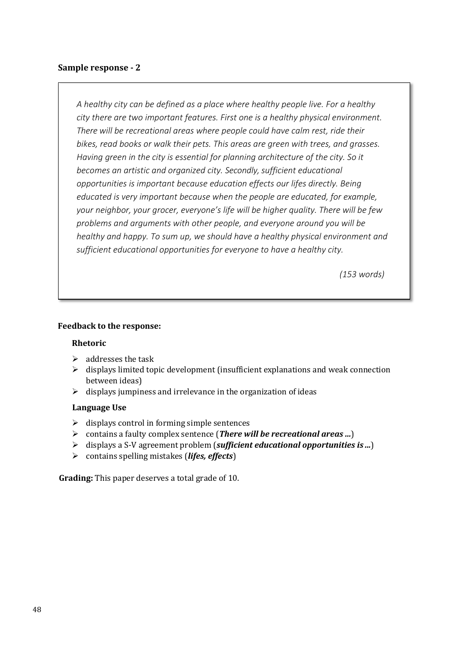*A healthy city can be defined as a place where healthy people live. For a healthy city there are two important features. First one is a healthy physical environment. There will be recreational areas where people could have calm rest, ride their bikes, read books or walk their pets. This areas are green with trees, and grasses. Having green in the city is essential for planning architecture of the city. So it becomes an artistic and organized city. Secondly, sufficient educational opportunities is important because education effects our lifes directly. Being educated is very important because when the people are educated, for example, your neighbor, your grocer, everyone's life will be higher quality. There will be few problems and arguments with other people, and everyone around you will be healthy and happy. To sum up, we should have a healthy physical environment and sufficient educational opportunities for everyone to have a healthy city.*

 *(153 words)*

#### **Feedback to the response:**

#### **Rhetoric**

- $\triangleright$  addresses the task
- $\triangleright$  displays limited topic development (insufficient explanations and weak connection between ideas)
- $\triangleright$  displays jumpiness and irrelevance in the organization of ideas

#### **Language Use**

- $\triangleright$  displays control in forming simple sentences
- ➢ contains a faulty complex sentence (*There will be recreational areas …*)
- ➢ displays a S-V agreement problem (*sufficient educational opportunities is ...*)
- ➢ contains spelling mistakes (*lifes, effects*)

**Grading:** This paper deserves a total grade of 10.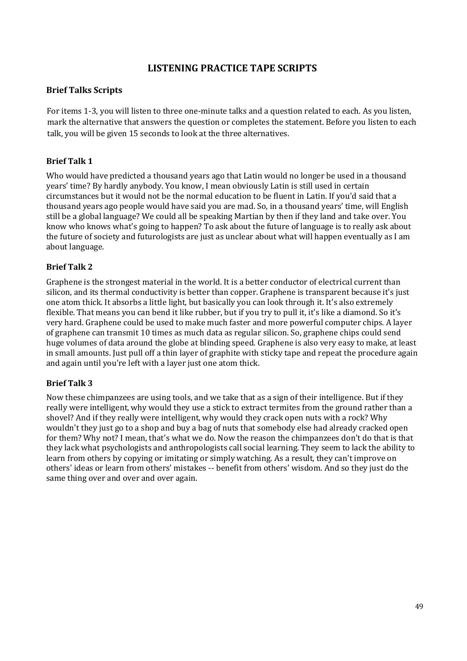# **LISTENING PRACTICE TAPE SCRIPTS**

# **Brief Talks Scripts**

For items 1-3, you will listen to three one-minute talks and a question related to each. As you listen, mark the alternative that answers the question or completes the statement. Before you listen to each talk, you will be given 15 seconds to look at the three alternatives.

# **Brief Talk 1**

Who would have predicted a thousand years ago that Latin would no longer be used in a thousand years' time? By hardly anybody. You know, I mean obviously Latin is still used in certain circumstances but it would not be the normal education to be fluent in Latin. If you'd said that a thousand years ago people would have said you are mad. So, in a thousand years' time, will English still be a global language? We could all be speaking Martian by then if they land and take over. You know who knows what's going to happen? To ask about the future of language is to really ask about the future of society and futurologists are just as unclear about what will happen eventually as I am about language.

# **Brief Talk 2**

Graphene is the strongest material in the world. It is a better conductor of electrical current than silicon, and its thermal conductivity is better than copper. Graphene is transparent because it's just one atom thick. It absorbs a little light, but basically you can look through it. It's also extremely flexible. That means you can bend it like rubber, but if you try to pull it, it's like a diamond. So it's very hard. Graphene could be used to make much faster and more powerful computer chips. A layer of graphene can transmit 10 times as much data as regular silicon. So, graphene chips could send huge volumes of data around the globe at blinding speed. Graphene is also very easy to make, at least in small amounts. Just pull off a thin layer of graphite with sticky tape and repeat the procedure again and again until you're left with a layer just one atom thick.

#### **Brief Talk 3**

Now these chimpanzees are using tools, and we take that as a sign of their intelligence. But if they really were intelligent, why would they use a stick to extract termites from the ground rather than a shovel? And if they really were intelligent, why would they crack open nuts with a rock? Why wouldn't they just go to a shop and buy a bag of nuts that somebody else had already cracked open for them? Why not? I mean, that's what we do. Now the reason the chimpanzees don't do that is that they lack what psychologists and anthropologists call social learning. They seem to lack the ability to learn from others by copying or imitating or simply watching. As a result, they can't improve on others' ideas or learn from others' mistakes -- benefit from others' wisdom. And so they just do the same thing over and over and over again.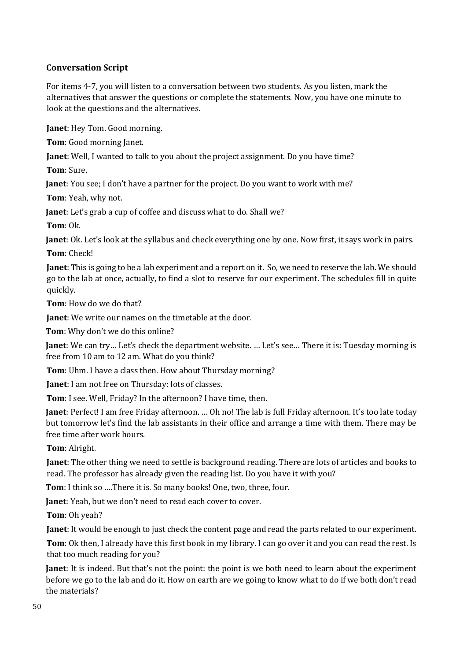# **Conversation Script**

For items 4-7, you will listen to a conversation between two students. As you listen, mark the alternatives that answer the questions or complete the statements. Now, you have one minute to look at the questions and the alternatives.

**Janet**: Hey Tom. Good morning.

**Tom**: Good morning Janet.

**Janet**: Well, I wanted to talk to you about the project assignment. Do you have time?

**Tom**: Sure.

**Janet**: You see; I don't have a partner for the project. Do you want to work with me?

**Tom**: Yeah, why not.

**Janet**: Let's grab a cup of coffee and discuss what to do. Shall we?

**Tom**: Ok.

**Janet**: Ok. Let's look at the syllabus and check everything one by one. Now first, it says work in pairs.

**Tom**: Check!

**Janet**: This is going to be a lab experiment and a report on it. So, we need to reserve the lab. We should go to the lab at once, actually, to find a slot to reserve for our experiment. The schedules fill in quite quickly.

**Tom**: How do we do that?

**Janet**: We write our names on the timetable at the door.

**Tom**: Why don't we do this online?

**Janet**: We can try… Let's check the department website. … Let's see… There it is: Tuesday morning is free from 10 am to 12 am. What do you think?

**Tom**: Uhm. I have a class then. How about Thursday morning?

**Janet**: I am not free on Thursday: lots of classes.

**Tom**: I see. Well, Friday? In the afternoon? I have time, then.

**Janet**: Perfect! I am free Friday afternoon. … Oh no! The lab is full Friday afternoon. It's too late today but tomorrow let's find the lab assistants in their office and arrange a time with them. There may be free time after work hours.

**Tom**: Alright.

**Janet**: The other thing we need to settle is background reading. There are lots of articles and books to read. The professor has already given the reading list. Do you have it with you?

**Tom**: I think so ….There it is. So many books! One, two, three, four.

Janet: Yeah, but we don't need to read each cover to cover.

**Tom**: Oh yeah?

**Janet**: It would be enough to just check the content page and read the parts related to our experiment.

**Tom**: Ok then, I already have this first book in my library. I can go over it and you can read the rest. Is that too much reading for you?

**Janet**: It is indeed. But that's not the point: the point is we both need to learn about the experiment before we go to the lab and do it. How on earth are we going to know what to do if we both don't read the materials?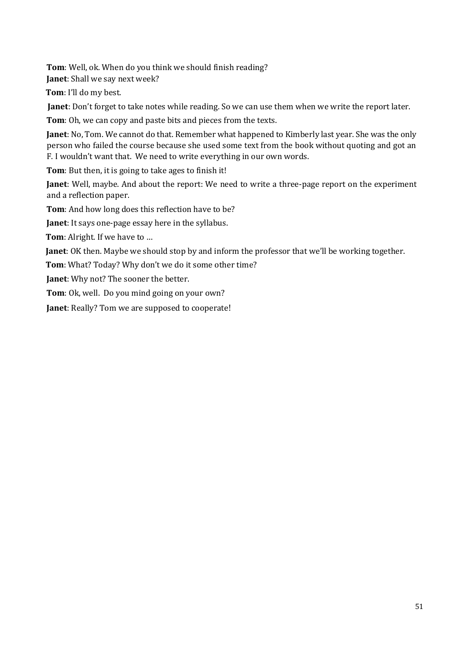**Tom**: Well, ok. When do you think we should finish reading?

**Janet**: Shall we say next week?

**Tom**: I'll do my best.

**Janet**: Don't forget to take notes while reading. So we can use them when we write the report later.

**Tom**: Oh, we can copy and paste bits and pieces from the texts.

**Janet**: No, Tom. We cannot do that. Remember what happened to Kimberly last year. She was the only person who failed the course because she used some text from the book without quoting and got an F. I wouldn't want that. We need to write everything in our own words.

**Tom**: But then, it is going to take ages to finish it!

**Janet**: Well, maybe. And about the report: We need to write a three-page report on the experiment and a reflection paper.

**Tom**: And how long does this reflection have to be?

**Janet**: It says one-page essay here in the syllabus.

**Tom**: Alright. If we have to …

**Janet**: OK then. Maybe we should stop by and inform the professor that we'll be working together.

**Tom**: What? Today? Why don't we do it some other time?

**Janet**: Why not? The sooner the better.

**Tom**: Ok, well. Do you mind going on your own?

**Janet**: Really? Tom we are supposed to cooperate!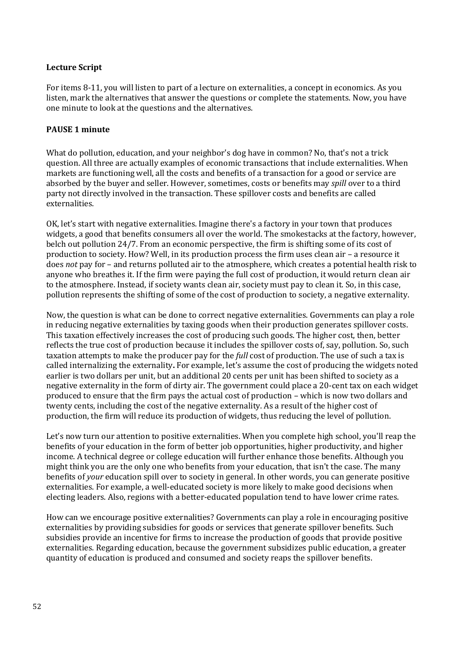#### **Lecture Script**

For items 8-11, you will listen to part of a lecture on externalities, a concept in economics. As you listen, mark the alternatives that answer the questions or complete the statements. Now, you have one minute to look at the questions and the alternatives.

#### **PAUSE 1 minute**

What do pollution, education, and your neighbor's dog have in common? No, that's not a trick question. All three are actually examples of economic transactions that include externalities. When markets are functioning well, all the costs and benefits of a transaction for a good or service are absorbed by the buyer and seller. However, sometimes, costs or benefits may *spill* over to a third party not directly involved in the transaction. These spillover costs and benefits are called externalities.

OK, let's start with negative externalities. Imagine there's a factory in your town that produces widgets, a good that benefits consumers all over the world. The smokestacks at the factory, however, belch out pollution 24/7. From an economic perspective, the firm is shifting some of its cost of production to society. How? Well, in its production process the firm uses clean air – a resource it does *not* pay for – and returns polluted air to the atmosphere, which creates a potential health risk to anyone who breathes it. If the firm were paying the full cost of production, it would return clean air to the atmosphere. Instead, if society wants clean air, society must pay to clean it. So, in this case, pollution represents the shifting of some of the cost of production to society, a negative externality.

Now, the question is what can be done to correct negative externalities. Governments can play a role in reducing negative externalities by taxing goods when their production generates spillover costs. This taxation effectively increases the cost of producing such goods. The higher cost, then, better reflects the true cost of production because it includes the spillover costs of, say, pollution. So, such taxation attempts to make the producer pay for the *full* cost of production. The use of such a tax is called internalizing the externality**.** For example, let's assume the cost of producing the widgets noted earlier is two dollars per unit, but an additional 20 cents per unit has been shifted to society as a negative externality in the form of dirty air. The government could place a 20-cent tax on each widget produced to ensure that the firm pays the actual cost of production – which is now two dollars and twenty cents, including the cost of the negative externality. As a result of the higher cost of production, the firm will reduce its production of widgets, thus reducing the level of pollution.

Let's now turn our attention to positive externalities. When you complete high school, you'll reap the benefits of your education in the form of better job opportunities, higher productivity, and higher income. A technical degree or college education will further enhance those benefits. Although you might think you are the only one who benefits from your education, that isn't the case. The many benefits of *your* education spill over to society in general. In other words, you can generate positive externalities. For example, a well-educated society is more likely to make good decisions when electing leaders. Also, regions with a better-educated population tend to have lower crime rates.

How can we encourage positive externalities? Governments can play a role in encouraging positive externalities by providing subsidies for goods or services that generate spillover benefits. Such subsidies provide an incentive for firms to increase the production of goods that provide positive externalities. Regarding education, because the government subsidizes public education, a greater quantity of education is produced and consumed and society reaps the spillover benefits.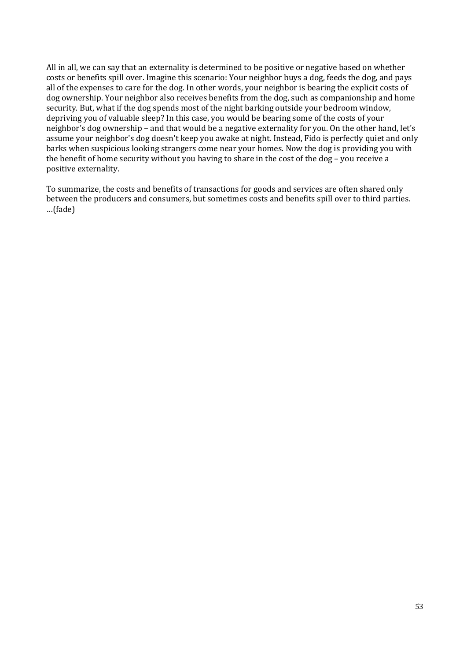All in all, we can say that an externality is determined to be positive or negative based on whether costs or benefits spill over. Imagine this scenario: Your neighbor buys a dog, feeds the dog, and pays all of the expenses to care for the dog. In other words, your neighbor is bearing the explicit costs of dog ownership. Your neighbor also receives benefits from the dog, such as companionship and home security. But, what if the dog spends most of the night barking outside your bedroom window, depriving you of valuable sleep? In this case, you would be bearing some of the costs of your neighbor's dog ownership – and that would be a negative externality for you. On the other hand, let's assume your neighbor's dog doesn't keep you awake at night. Instead, Fido is perfectly quiet and only barks when suspicious looking strangers come near your homes. Now the dog is providing you with the benefit of home security without you having to share in the cost of the dog – you receive a positive externality.

To summarize, the costs and benefits of transactions for goods and services are often shared only between the producers and consumers, but sometimes costs and benefits spill over to third parties. …(fade)